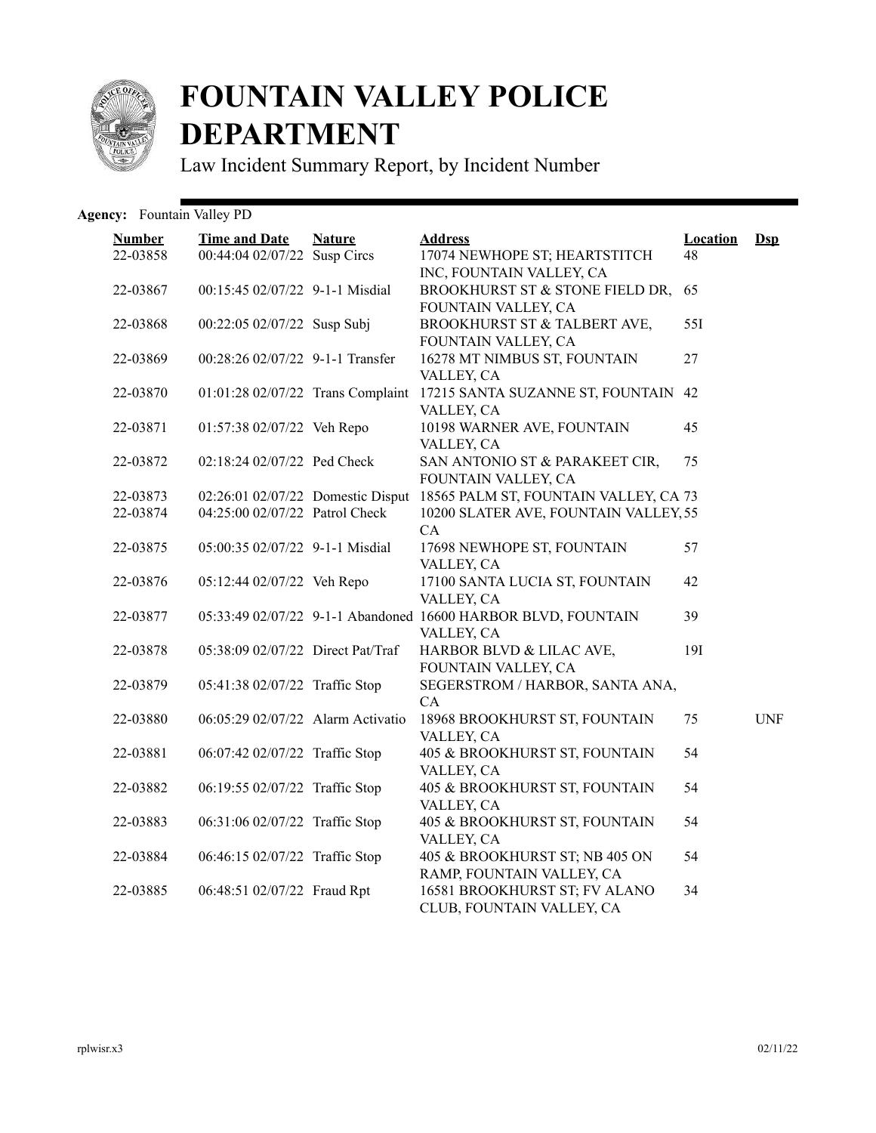

## **FOUNTAIN VALLEY POLICE DEPARTMENT**

Law Incident Summary Report, by Incident Number

## Agency: Fountain Valley PD

| <b>Number</b><br>22-03858 | <b>Time and Date</b><br>00:44:04 02/07/22 Susp Circs | <b>Nature</b> | <b>Address</b><br>17074 NEWHOPE ST; HEARTSTITCH                             | <b>Location</b><br>48 | <b>D</b> sp |
|---------------------------|------------------------------------------------------|---------------|-----------------------------------------------------------------------------|-----------------------|-------------|
|                           |                                                      |               | INC, FOUNTAIN VALLEY, CA                                                    |                       |             |
| 22-03867                  | 00:15:45 02/07/22 9-1-1 Misdial                      |               | BROOKHURST ST & STONE FIELD DR,<br>FOUNTAIN VALLEY, CA                      | 65                    |             |
| 22-03868                  | 00:22:05 02/07/22 Susp Subj                          |               | BROOKHURST ST & TALBERT AVE,<br>FOUNTAIN VALLEY, CA                         | 55I                   |             |
| 22-03869                  | 00:28:26 02/07/22 9-1-1 Transfer                     |               | 16278 MT NIMBUS ST, FOUNTAIN<br>VALLEY, CA                                  | 27                    |             |
| 22-03870                  | 01:01:28 02/07/22 Trans Complaint                    |               | 17215 SANTA SUZANNE ST, FOUNTAIN 42<br>VALLEY, CA                           |                       |             |
| 22-03871                  | 01:57:38 02/07/22 Veh Repo                           |               | 10198 WARNER AVE, FOUNTAIN<br>VALLEY, CA                                    | 45                    |             |
| 22-03872                  | 02:18:24 02/07/22 Ped Check                          |               | SAN ANTONIO ST & PARAKEET CIR,<br>FOUNTAIN VALLEY, CA                       | 75                    |             |
| 22-03873                  | 02:26:01 02/07/22 Domestic Disput                    |               | 18565 PALM ST, FOUNTAIN VALLEY, CA 73                                       |                       |             |
| 22-03874                  | 04:25:00 02/07/22 Patrol Check                       |               | 10200 SLATER AVE, FOUNTAIN VALLEY, 55                                       |                       |             |
|                           |                                                      |               | CA                                                                          |                       |             |
| 22-03875                  | 05:00:35 02/07/22 9-1-1 Misdial                      |               | 17698 NEWHOPE ST, FOUNTAIN<br>VALLEY, CA                                    | 57                    |             |
| 22-03876                  | 05:12:44 02/07/22 Veh Repo                           |               | 17100 SANTA LUCIA ST, FOUNTAIN<br>VALLEY, CA                                | 42                    |             |
| 22-03877                  |                                                      |               | 05:33:49 02/07/22 9-1-1 Abandoned 16600 HARBOR BLVD, FOUNTAIN<br>VALLEY, CA | 39                    |             |
| 22-03878                  | 05:38:09 02/07/22 Direct Pat/Traf                    |               | HARBOR BLVD & LILAC AVE,<br>FOUNTAIN VALLEY, CA                             | <b>19I</b>            |             |
| 22-03879                  | 05:41:38 02/07/22 Traffic Stop                       |               | SEGERSTROM / HARBOR, SANTA ANA,<br>CA                                       |                       |             |
| 22-03880                  | 06:05:29 02/07/22 Alarm Activatio                    |               | 18968 BROOKHURST ST, FOUNTAIN<br>VALLEY, CA                                 | 75                    | <b>UNF</b>  |
| 22-03881                  | 06:07:42 02/07/22 Traffic Stop                       |               | 405 & BROOKHURST ST, FOUNTAIN<br>VALLEY, CA                                 | 54                    |             |
| 22-03882                  | 06:19:55 02/07/22 Traffic Stop                       |               | 405 & BROOKHURST ST, FOUNTAIN<br>VALLEY, CA                                 | 54                    |             |
| 22-03883                  | 06:31:06 02/07/22 Traffic Stop                       |               | 405 & BROOKHURST ST, FOUNTAIN<br>VALLEY, CA                                 | 54                    |             |
| 22-03884                  | 06:46:15 02/07/22 Traffic Stop                       |               | 405 & BROOKHURST ST; NB 405 ON<br>RAMP, FOUNTAIN VALLEY, CA                 | 54                    |             |
| 22-03885                  | 06:48:51 02/07/22 Fraud Rpt                          |               | 16581 BROOKHURST ST; FV ALANO<br>CLUB, FOUNTAIN VALLEY, CA                  | 34                    |             |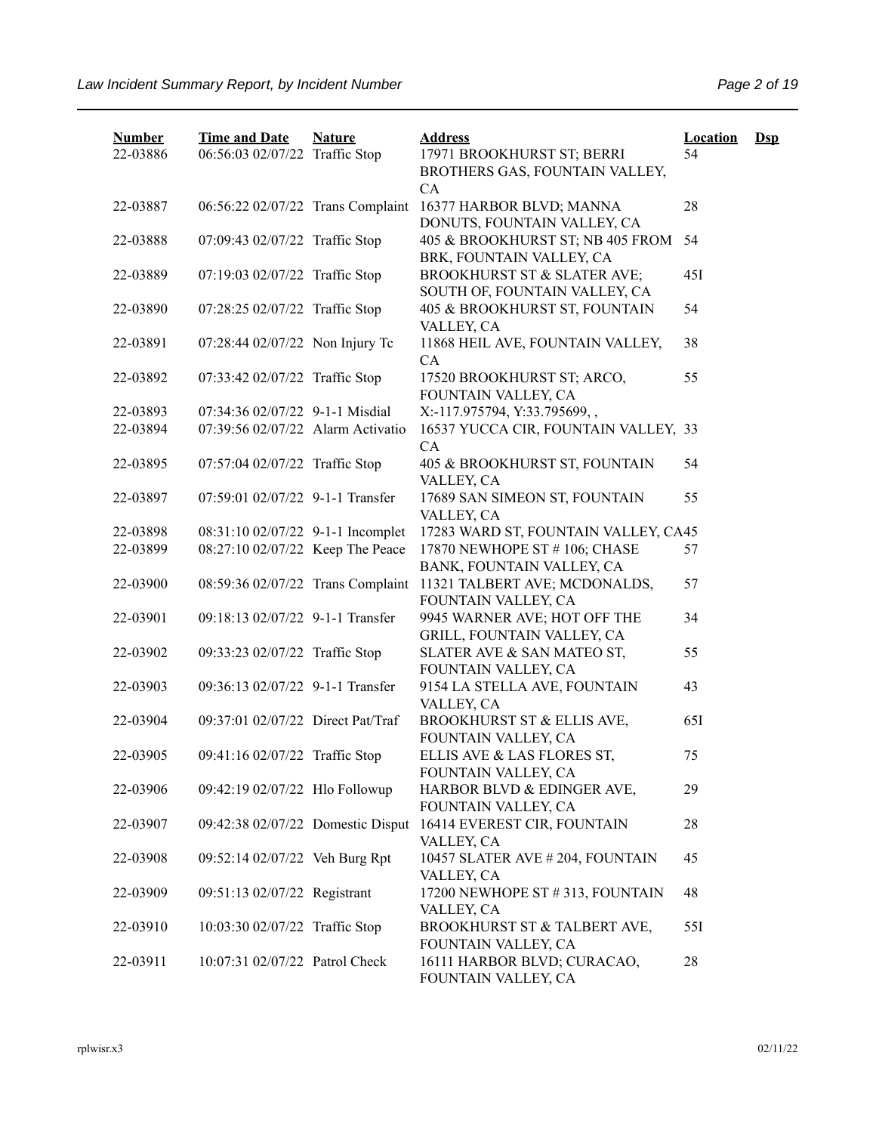| <b>Number</b><br>22-03886 | <b>Time and Date</b><br>06:56:03 02/07/22 Traffic Stop | <b>Nature</b> | <b>Address</b><br>17971 BROOKHURST ST; BERRI<br>BROTHERS GAS, FOUNTAIN VALLEY,<br>CA | <b>Location</b><br>54 | $\mathbf{Dsp}$ |
|---------------------------|--------------------------------------------------------|---------------|--------------------------------------------------------------------------------------|-----------------------|----------------|
| 22-03887                  | 06:56:22 02/07/22 Trans Complaint                      |               | 16377 HARBOR BLVD; MANNA<br>DONUTS, FOUNTAIN VALLEY, CA                              | 28                    |                |
| 22-03888                  | 07:09:43 02/07/22 Traffic Stop                         |               | 405 & BROOKHURST ST; NB 405 FROM<br>BRK, FOUNTAIN VALLEY, CA                         | 54                    |                |
| 22-03889                  | 07:19:03 02/07/22 Traffic Stop                         |               | BROOKHURST ST & SLATER AVE;<br>SOUTH OF, FOUNTAIN VALLEY, CA                         | 45I                   |                |
| 22-03890                  | 07:28:25 02/07/22 Traffic Stop                         |               | 405 & BROOKHURST ST, FOUNTAIN<br>VALLEY, CA                                          | 54                    |                |
| 22-03891                  | 07:28:44 02/07/22 Non Injury Tc                        |               | 11868 HEIL AVE, FOUNTAIN VALLEY,<br><b>CA</b>                                        | 38                    |                |
| 22-03892                  | 07:33:42 02/07/22 Traffic Stop                         |               | 17520 BROOKHURST ST; ARCO,<br>FOUNTAIN VALLEY, CA                                    | 55                    |                |
| 22-03893                  | 07:34:36 02/07/22 9-1-1 Misdial                        |               | X:-117.975794, Y:33.795699,,                                                         |                       |                |
| 22-03894                  | 07:39:56 02/07/22 Alarm Activatio                      |               | 16537 YUCCA CIR, FOUNTAIN VALLEY, 33<br>CA                                           |                       |                |
| 22-03895                  | 07:57:04 02/07/22 Traffic Stop                         |               | 405 & BROOKHURST ST, FOUNTAIN<br>VALLEY, CA                                          | 54                    |                |
| 22-03897                  | 07:59:01 02/07/22 9-1-1 Transfer                       |               | 17689 SAN SIMEON ST, FOUNTAIN<br>VALLEY, CA                                          | 55                    |                |
| 22-03898                  | 08:31:10 02/07/22 9-1-1 Incomplet                      |               | 17283 WARD ST, FOUNTAIN VALLEY, CA45                                                 |                       |                |
| 22-03899                  | 08:27:10 02/07/22 Keep The Peace                       |               | 17870 NEWHOPE ST # 106; CHASE                                                        | 57                    |                |
|                           |                                                        |               | BANK, FOUNTAIN VALLEY, CA                                                            |                       |                |
| 22-03900                  | 08:59:36 02/07/22 Trans Complaint                      |               | 11321 TALBERT AVE; MCDONALDS,<br>FOUNTAIN VALLEY, CA                                 | 57                    |                |
| 22-03901                  | 09:18:13 02/07/22 9-1-1 Transfer                       |               | 9945 WARNER AVE; HOT OFF THE<br>GRILL, FOUNTAIN VALLEY, CA                           | 34                    |                |
| 22-03902                  | 09:33:23 02/07/22 Traffic Stop                         |               | SLATER AVE & SAN MATEO ST,<br>FOUNTAIN VALLEY, CA                                    | 55                    |                |
| 22-03903                  | 09:36:13 02/07/22 9-1-1 Transfer                       |               | 9154 LA STELLA AVE, FOUNTAIN<br>VALLEY, CA                                           | 43                    |                |
| 22-03904                  | 09:37:01 02/07/22 Direct Pat/Traf                      |               | BROOKHURST ST & ELLIS AVE,<br>FOUNTAIN VALLEY, CA                                    | 651                   |                |
| 22-03905                  | 09:41:16 02/07/22 Traffic Stop                         |               | ELLIS AVE & LAS FLORES ST,<br>FOUNTAIN VALLEY, CA                                    | 75                    |                |
| 22-03906                  | 09:42:19 02/07/22 Hlo Followup                         |               | HARBOR BLVD & EDINGER AVE,<br>FOUNTAIN VALLEY, CA                                    | 29                    |                |
| 22-03907                  | 09:42:38 02/07/22 Domestic Disput                      |               | 16414 EVEREST CIR, FOUNTAIN<br>VALLEY, CA                                            | 28                    |                |
| 22-03908                  | 09:52:14 02/07/22 Veh Burg Rpt                         |               | 10457 SLATER AVE # 204, FOUNTAIN<br>VALLEY, CA                                       | 45                    |                |
| 22-03909                  | 09:51:13 02/07/22 Registrant                           |               | 17200 NEWHOPE ST #313, FOUNTAIN<br>VALLEY, CA                                        | 48                    |                |
| 22-03910                  | 10:03:30 02/07/22 Traffic Stop                         |               | BROOKHURST ST & TALBERT AVE,<br>FOUNTAIN VALLEY, CA                                  | 55I                   |                |
| 22-03911                  | 10:07:31 02/07/22 Patrol Check                         |               | 16111 HARBOR BLVD; CURACAO,<br>FOUNTAIN VALLEY, CA                                   | 28                    |                |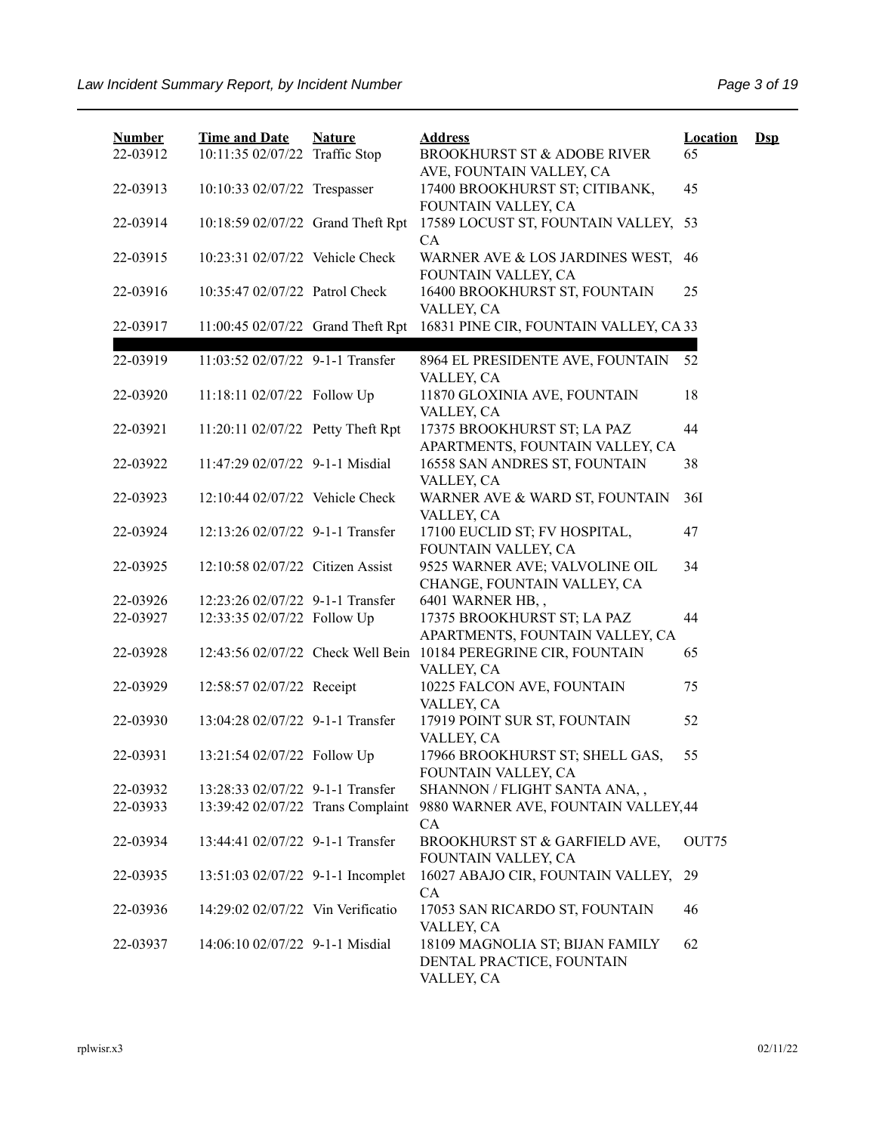| <b>Number</b><br>22-03912 | <b>Time and Date</b><br>10:11:35 02/07/22 Traffic Stop | <b>Nature</b> | <b>Address</b><br><b>BROOKHURST ST &amp; ADOBE RIVER</b>                          | <b>Location</b><br>65 | $\mathbf{Dsp}$ |
|---------------------------|--------------------------------------------------------|---------------|-----------------------------------------------------------------------------------|-----------------------|----------------|
| 22-03913                  | 10:10:33 02/07/22 Trespasser                           |               | AVE, FOUNTAIN VALLEY, CA<br>17400 BROOKHURST ST; CITIBANK,<br>FOUNTAIN VALLEY, CA | 45                    |                |
| 22-03914                  | 10:18:59 02/07/22 Grand Theft Rpt                      |               | 17589 LOCUST ST, FOUNTAIN VALLEY,<br>CA                                           | 53                    |                |
| 22-03915                  | 10:23:31 02/07/22 Vehicle Check                        |               | WARNER AVE & LOS JARDINES WEST,<br>FOUNTAIN VALLEY, CA                            | 46                    |                |
| 22-03916                  | 10:35:47 02/07/22 Patrol Check                         |               | 16400 BROOKHURST ST, FOUNTAIN<br>VALLEY, CA                                       | 25                    |                |
| 22-03917                  | 11:00:45 02/07/22 Grand Theft Rpt                      |               | 16831 PINE CIR, FOUNTAIN VALLEY, CA 33                                            |                       |                |
| 22-03919                  | 11:03:52 02/07/22 9-1-1 Transfer                       |               | 8964 EL PRESIDENTE AVE, FOUNTAIN<br>VALLEY, CA                                    | 52                    |                |
| 22-03920                  | 11:18:11 02/07/22 Follow Up                            |               | 11870 GLOXINIA AVE, FOUNTAIN<br>VALLEY, CA                                        | 18                    |                |
| 22-03921                  | 11:20:11 02/07/22 Petty Theft Rpt                      |               | 17375 BROOKHURST ST; LA PAZ<br>APARTMENTS, FOUNTAIN VALLEY, CA                    | 44                    |                |
| 22-03922                  | 11:47:29 02/07/22 9-1-1 Misdial                        |               | 16558 SAN ANDRES ST, FOUNTAIN<br>VALLEY, CA                                       | 38                    |                |
| 22-03923                  | 12:10:44 02/07/22 Vehicle Check                        |               | WARNER AVE & WARD ST, FOUNTAIN<br>VALLEY, CA                                      | 36I                   |                |
| 22-03924                  | 12:13:26 02/07/22 9-1-1 Transfer                       |               | 17100 EUCLID ST; FV HOSPITAL,<br>FOUNTAIN VALLEY, CA                              | 47                    |                |
| 22-03925                  | 12:10:58 02/07/22 Citizen Assist                       |               | 9525 WARNER AVE; VALVOLINE OIL<br>CHANGE, FOUNTAIN VALLEY, CA                     | 34                    |                |
| 22-03926                  | 12:23:26 02/07/22 9-1-1 Transfer                       |               | 6401 WARNER HB,,                                                                  |                       |                |
| 22-03927                  | 12:33:35 02/07/22 Follow Up                            |               | 17375 BROOKHURST ST; LA PAZ<br>APARTMENTS, FOUNTAIN VALLEY, CA                    | 44                    |                |
| 22-03928                  | 12:43:56 02/07/22 Check Well Bein                      |               | 10184 PEREGRINE CIR, FOUNTAIN<br>VALLEY, CA                                       | 65                    |                |
| 22-03929                  | 12:58:57 02/07/22 Receipt                              |               | 10225 FALCON AVE, FOUNTAIN<br>VALLEY, CA                                          | 75                    |                |
| 22-03930                  | 13:04:28 02/07/22 9-1-1 Transfer                       |               | 17919 POINT SUR ST, FOUNTAIN<br>VALLEY, CA                                        | 52                    |                |
| 22-03931                  | 13:21:54 02/07/22 Follow Up                            |               | 17966 BROOKHURST ST; SHELL GAS,<br>FOUNTAIN VALLEY, CA                            | 55                    |                |
| 22-03932                  | 13:28:33 02/07/22 9-1-1 Transfer                       |               | SHANNON / FLIGHT SANTA ANA,,                                                      |                       |                |
| 22-03933                  | 13:39:42 02/07/22 Trans Complaint                      |               | 9880 WARNER AVE, FOUNTAIN VALLEY, 44<br>CA                                        |                       |                |
| 22-03934                  | 13:44:41 02/07/22 9-1-1 Transfer                       |               | BROOKHURST ST & GARFIELD AVE,<br>FOUNTAIN VALLEY, CA                              | OUT75                 |                |
| 22-03935                  | 13:51:03 02/07/22 9-1-1 Incomplet                      |               | 16027 ABAJO CIR, FOUNTAIN VALLEY,<br>CA                                           | 29                    |                |
| 22-03936                  | 14:29:02 02/07/22 Vin Verificatio                      |               | 17053 SAN RICARDO ST, FOUNTAIN<br>VALLEY, CA                                      | 46                    |                |
| 22-03937                  | 14:06:10 02/07/22 9-1-1 Misdial                        |               | 18109 MAGNOLIA ST; BIJAN FAMILY<br>DENTAL PRACTICE, FOUNTAIN<br>VALLEY, CA        | 62                    |                |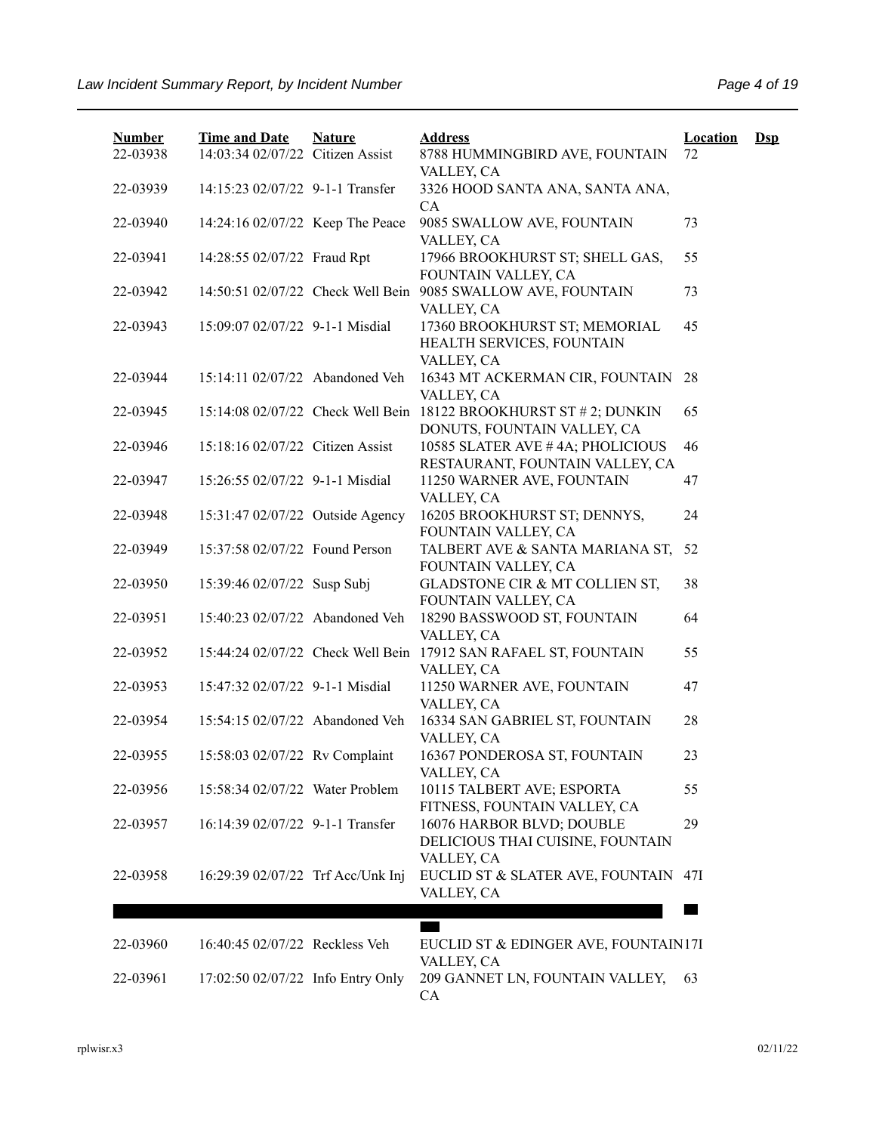| <b>Number</b><br>22-03938 | <b>Time and Date</b><br>14:03:34 02/07/22 Citizen Assist | <b>Nature</b> | <b>Address</b><br>8788 HUMMINGBIRD AVE, FOUNTAIN                                                 | <b>Location</b><br>72 | $\mathbf{Dsp}$ |
|---------------------------|----------------------------------------------------------|---------------|--------------------------------------------------------------------------------------------------|-----------------------|----------------|
|                           |                                                          |               | VALLEY, CA                                                                                       |                       |                |
| 22-03939                  | 14:15:23 02/07/22 9-1-1 Transfer                         |               | 3326 HOOD SANTA ANA, SANTA ANA,<br><b>CA</b>                                                     |                       |                |
| 22-03940                  | 14:24:16 02/07/22 Keep The Peace                         |               | 9085 SWALLOW AVE, FOUNTAIN<br>VALLEY, CA                                                         | 73                    |                |
| 22-03941                  | 14:28:55 02/07/22 Fraud Rpt                              |               | 17966 BROOKHURST ST; SHELL GAS,<br>FOUNTAIN VALLEY, CA                                           | 55                    |                |
| 22-03942                  | 14:50:51 02/07/22 Check Well Bein                        |               | 9085 SWALLOW AVE, FOUNTAIN<br>VALLEY, CA                                                         | 73                    |                |
| 22-03943                  | 15:09:07 02/07/22 9-1-1 Misdial                          |               | 17360 BROOKHURST ST; MEMORIAL<br>HEALTH SERVICES, FOUNTAIN<br>VALLEY, CA                         | 45                    |                |
| 22-03944                  | 15:14:11 02/07/22 Abandoned Veh                          |               | 16343 MT ACKERMAN CIR, FOUNTAIN<br>VALLEY, CA                                                    | 28                    |                |
| 22-03945                  |                                                          |               | 15:14:08 02/07/22 Check Well Bein 18122 BROOKHURST ST # 2; DUNKIN<br>DONUTS, FOUNTAIN VALLEY, CA | 65                    |                |
| 22-03946                  | 15:18:16 02/07/22 Citizen Assist                         |               | 10585 SLATER AVE #4A; PHOLICIOUS<br>RESTAURANT, FOUNTAIN VALLEY, CA                              | 46                    |                |
| 22-03947                  | 15:26:55 02/07/22 9-1-1 Misdial                          |               | 11250 WARNER AVE, FOUNTAIN<br>VALLEY, CA                                                         | 47                    |                |
| 22-03948                  | 15:31:47 02/07/22 Outside Agency                         |               | 16205 BROOKHURST ST; DENNYS,<br>FOUNTAIN VALLEY, CA                                              | 24                    |                |
| 22-03949                  | 15:37:58 02/07/22 Found Person                           |               | TALBERT AVE & SANTA MARIANA ST,<br>FOUNTAIN VALLEY, CA                                           | 52                    |                |
| 22-03950                  | 15:39:46 02/07/22 Susp Subj                              |               | GLADSTONE CIR & MT COLLIEN ST,<br>FOUNTAIN VALLEY, CA                                            | 38                    |                |
| 22-03951                  | 15:40:23 02/07/22 Abandoned Veh                          |               | 18290 BASSWOOD ST, FOUNTAIN<br>VALLEY, CA                                                        | 64                    |                |
| 22-03952                  | 15:44:24 02/07/22 Check Well Bein                        |               | 17912 SAN RAFAEL ST, FOUNTAIN<br>VALLEY, CA                                                      | 55                    |                |
| 22-03953                  | 15:47:32 02/07/22 9-1-1 Misdial                          |               | 11250 WARNER AVE, FOUNTAIN<br>VALLEY, CA                                                         | 47                    |                |
| 22-03954                  | 15:54:15 02/07/22 Abandoned Veh                          |               | 16334 SAN GABRIEL ST, FOUNTAIN<br>VALLEY, CA                                                     | 28                    |                |
| 22-03955                  | 15:58:03 02/07/22 Rv Complaint                           |               | 16367 PONDEROSA ST, FOUNTAIN<br>VALLEY, CA                                                       | 23                    |                |
| 22-03956                  | 15:58:34 02/07/22 Water Problem                          |               | 10115 TALBERT AVE; ESPORTA<br>FITNESS, FOUNTAIN VALLEY, CA                                       | 55                    |                |
| 22-03957                  | 16:14:39 02/07/22 9-1-1 Transfer                         |               | 16076 HARBOR BLVD; DOUBLE<br>DELICIOUS THAI CUISINE, FOUNTAIN                                    | 29                    |                |
| 22-03958                  | 16:29:39 02/07/22 Trf Acc/Unk Inj                        |               | VALLEY, CA<br>EUCLID ST & SLATER AVE, FOUNTAIN<br>VALLEY, CA                                     | 47I                   |                |
|                           |                                                          |               |                                                                                                  |                       |                |
| 22-03960                  | 16:40:45 02/07/22 Reckless Veh                           |               | EUCLID ST & EDINGER AVE, FOUNTAIN17I<br>VALLEY, CA                                               |                       |                |
| 22-03961                  | 17:02:50 02/07/22 Info Entry Only                        |               | 209 GANNET LN, FOUNTAIN VALLEY,<br>CA                                                            | 63                    |                |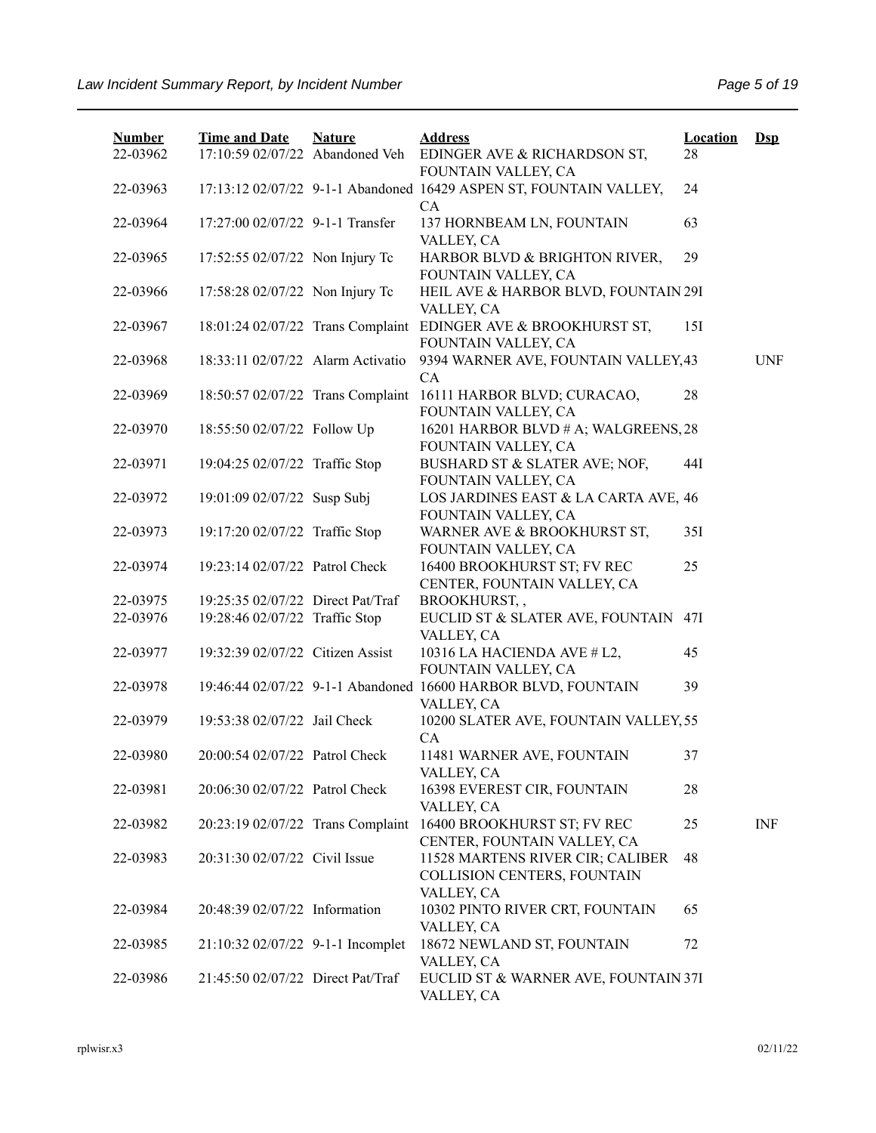| <b>Number</b> | <b>Time and Date</b>              | <b>Nature</b> | <b>Address</b>                                                                | <b>Location</b> | $Ds$       |
|---------------|-----------------------------------|---------------|-------------------------------------------------------------------------------|-----------------|------------|
| 22-03962      | 17:10:59 02/07/22 Abandoned Veh   |               | EDINGER AVE & RICHARDSON ST,<br>FOUNTAIN VALLEY, CA                           | 28              |            |
| 22-03963      |                                   |               | 17:13:12 02/07/22 9-1-1 Abandoned 16429 ASPEN ST, FOUNTAIN VALLEY,            | 24              |            |
| 22-03964      | 17:27:00 02/07/22 9-1-1 Transfer  |               | <b>CA</b><br>137 HORNBEAM LN, FOUNTAIN<br>VALLEY, CA                          | 63              |            |
| 22-03965      | 17:52:55 02/07/22 Non Injury Tc   |               | HARBOR BLVD & BRIGHTON RIVER,<br>FOUNTAIN VALLEY, CA                          | 29              |            |
| 22-03966      | 17:58:28 02/07/22 Non Injury Tc   |               | HEIL AVE & HARBOR BLVD, FOUNTAIN 29I<br>VALLEY, CA                            |                 |            |
| 22-03967      | 18:01:24 02/07/22 Trans Complaint |               | EDINGER AVE & BROOKHURST ST,<br>FOUNTAIN VALLEY, CA                           | 15I             |            |
| 22-03968      | 18:33:11 02/07/22 Alarm Activatio |               | 9394 WARNER AVE, FOUNTAIN VALLEY, 43<br>CA                                    |                 | <b>UNF</b> |
| 22-03969      | 18:50:57 02/07/22 Trans Complaint |               | 16111 HARBOR BLVD; CURACAO,<br>FOUNTAIN VALLEY, CA                            | 28              |            |
| 22-03970      | 18:55:50 02/07/22 Follow Up       |               | 16201 HARBOR BLVD # A; WALGREENS, 28<br>FOUNTAIN VALLEY, CA                   |                 |            |
| 22-03971      | 19:04:25 02/07/22 Traffic Stop    |               | BUSHARD ST & SLATER AVE; NOF,<br>FOUNTAIN VALLEY, CA                          | 44I             |            |
| 22-03972      | 19:01:09 02/07/22 Susp Subj       |               | LOS JARDINES EAST & LA CARTA AVE, 46<br>FOUNTAIN VALLEY, CA                   |                 |            |
| 22-03973      | 19:17:20 02/07/22 Traffic Stop    |               | WARNER AVE & BROOKHURST ST,<br>FOUNTAIN VALLEY, CA                            | 35I             |            |
| 22-03974      | 19:23:14 02/07/22 Patrol Check    |               | 16400 BROOKHURST ST; FV REC<br>CENTER, FOUNTAIN VALLEY, CA                    | 25              |            |
| 22-03975      | 19:25:35 02/07/22 Direct Pat/Traf |               | BROOKHURST,,                                                                  |                 |            |
| 22-03976      | 19:28:46 02/07/22 Traffic Stop    |               | EUCLID ST & SLATER AVE, FOUNTAIN 47I<br>VALLEY, CA                            |                 |            |
| 22-03977      | 19:32:39 02/07/22 Citizen Assist  |               | 10316 LA HACIENDA AVE # L2,<br>FOUNTAIN VALLEY, CA                            | 45              |            |
| 22-03978      |                                   |               | 19:46:44 02/07/22 9-1-1 Abandoned 16600 HARBOR BLVD, FOUNTAIN<br>VALLEY, CA   | 39              |            |
| 22-03979      | 19:53:38 02/07/22 Jail Check      |               | 10200 SLATER AVE, FOUNTAIN VALLEY, 55<br>CA                                   |                 |            |
| 22-03980      | 20:00:54 02/07/22 Patrol Check    |               | 11481 WARNER AVE, FOUNTAIN<br>VALLEY, CA                                      | 37              |            |
| 22-03981      | 20:06:30 02/07/22 Patrol Check    |               | 16398 EVEREST CIR, FOUNTAIN<br>VALLEY, CA                                     | 28              |            |
| 22-03982      | 20:23:19 02/07/22 Trans Complaint |               | 16400 BROOKHURST ST; FV REC<br>CENTER, FOUNTAIN VALLEY, CA                    | 25              | INF        |
| 22-03983      | 20:31:30 02/07/22 Civil Issue     |               | 11528 MARTENS RIVER CIR; CALIBER<br>COLLISION CENTERS, FOUNTAIN<br>VALLEY, CA | 48              |            |
| 22-03984      | 20:48:39 02/07/22 Information     |               | 10302 PINTO RIVER CRT, FOUNTAIN<br>VALLEY, CA                                 | 65              |            |
| 22-03985      | 21:10:32 02/07/22 9-1-1 Incomplet |               | 18672 NEWLAND ST, FOUNTAIN<br>VALLEY, CA                                      | 72              |            |
| 22-03986      | 21:45:50 02/07/22 Direct Pat/Traf |               | EUCLID ST & WARNER AVE, FOUNTAIN 37I<br>VALLEY, CA                            |                 |            |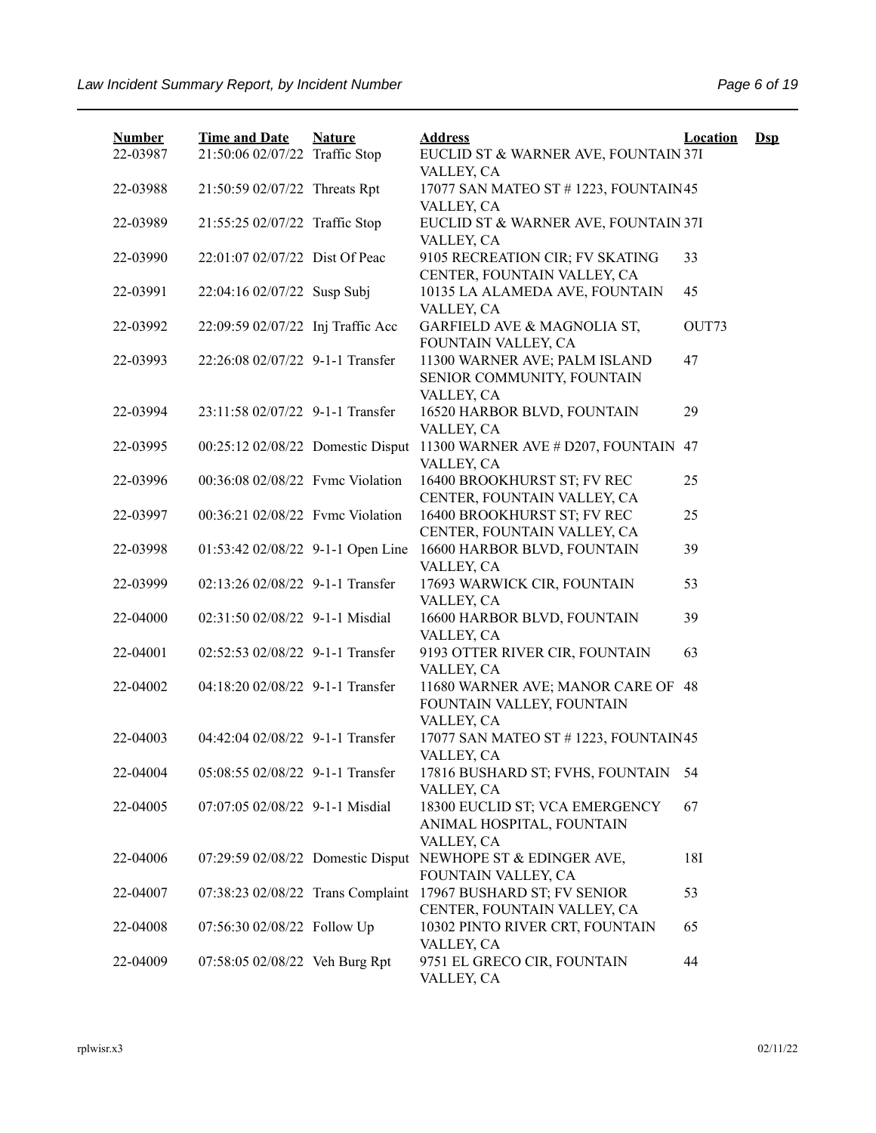| 22-03987<br>21:50:06 02/07/22 Traffic Stop<br>EUCLID ST & WARNER AVE, FOUNTAIN 37I<br>VALLEY, CA<br>17077 SAN MATEO ST # 1223, FOUNTAIN 45<br>22-03988<br>21:50:59 02/07/22 Threats Rpt<br>VALLEY, CA<br>21:55:25 02/07/22 Traffic Stop<br>EUCLID ST & WARNER AVE, FOUNTAIN 37I<br>22-03989<br>VALLEY, CA<br>22:01:07 02/07/22 Dist Of Peac<br>9105 RECREATION CIR; FV SKATING<br>33<br>22-03990<br>CENTER, FOUNTAIN VALLEY, CA<br>22:04:16 02/07/22 Susp Subj<br>10135 LA ALAMEDA AVE, FOUNTAIN<br>45<br>22-03991<br>VALLEY, CA<br>22:09:59 02/07/22 Inj Traffic Acc<br>GARFIELD AVE & MAGNOLIA ST,<br>OUT73<br>22-03992<br>FOUNTAIN VALLEY, CA<br>22:26:08 02/07/22 9-1-1 Transfer<br>11300 WARNER AVE; PALM ISLAND<br>47<br>22-03993<br>SENIOR COMMUNITY, FOUNTAIN<br>VALLEY, CA<br>22-03994<br>23:11:58 02/07/22 9-1-1 Transfer<br>16520 HARBOR BLVD, FOUNTAIN<br>29<br>VALLEY, CA<br>00:25:12 02/08/22 Domestic Disput<br>11300 WARNER AVE # D207, FOUNTAIN<br>22-03995<br>47<br>VALLEY, CA<br>16400 BROOKHURST ST; FV REC<br>22-03996<br>00:36:08 02/08/22 Fvmc Violation<br>25<br>CENTER, FOUNTAIN VALLEY, CA<br>22-03997<br>00:36:21 02/08/22 Fvmc Violation<br>16400 BROOKHURST ST; FV REC<br>25<br>CENTER, FOUNTAIN VALLEY, CA<br>22-03998<br>01:53:42 02/08/22 9-1-1 Open Line<br>16600 HARBOR BLVD, FOUNTAIN<br>39<br>VALLEY, CA<br>22-03999<br>02:13:26 02/08/22 9-1-1 Transfer<br>17693 WARWICK CIR, FOUNTAIN<br>53<br>VALLEY, CA<br>22-04000<br>02:31:50 02/08/22 9-1-1 Misdial<br>16600 HARBOR BLVD, FOUNTAIN<br>39<br>VALLEY, CA<br>22-04001<br>02:52:53 02/08/22 9-1-1 Transfer<br>9193 OTTER RIVER CIR, FOUNTAIN<br>63<br>VALLEY, CA<br>22-04002<br>04:18:20 02/08/22 9-1-1 Transfer<br>11680 WARNER AVE; MANOR CARE OF<br>48<br>FOUNTAIN VALLEY, FOUNTAIN<br>VALLEY, CA<br>22-04003<br>04:42:04 02/08/22 9-1-1 Transfer<br>17077 SAN MATEO ST # 1223, FOUNTAIN45<br>VALLEY, CA<br>22-04004<br>05:08:55 02/08/22 9-1-1 Transfer<br>17816 BUSHARD ST; FVHS, FOUNTAIN<br>54<br>VALLEY, CA<br>07:07:05 02/08/22 9-1-1 Misdial<br>18300 EUCLID ST; VCA EMERGENCY<br>22-04005<br>67<br>ANIMAL HOSPITAL, FOUNTAIN<br>VALLEY, CA<br>07:29:59 02/08/22 Domestic Disput<br>NEWHOPE ST & EDINGER AVE,<br>18I<br>22-04006<br>FOUNTAIN VALLEY, CA<br>07:38:23 02/08/22 Trans Complaint<br>17967 BUSHARD ST; FV SENIOR<br>53<br>22-04007<br>CENTER, FOUNTAIN VALLEY, CA<br>07:56:30 02/08/22 Follow Up<br>10302 PINTO RIVER CRT, FOUNTAIN<br>22-04008<br>65<br>VALLEY, CA<br>9751 EL GRECO CIR, FOUNTAIN<br>44<br>22-04009<br>07:58:05 02/08/22 Veh Burg Rpt | <b>Number</b> | <b>Time and Date</b> | <b>Nature</b> | <b>Address</b> | <b>Location</b> | $\mathbf{Dsp}$ |
|--------------------------------------------------------------------------------------------------------------------------------------------------------------------------------------------------------------------------------------------------------------------------------------------------------------------------------------------------------------------------------------------------------------------------------------------------------------------------------------------------------------------------------------------------------------------------------------------------------------------------------------------------------------------------------------------------------------------------------------------------------------------------------------------------------------------------------------------------------------------------------------------------------------------------------------------------------------------------------------------------------------------------------------------------------------------------------------------------------------------------------------------------------------------------------------------------------------------------------------------------------------------------------------------------------------------------------------------------------------------------------------------------------------------------------------------------------------------------------------------------------------------------------------------------------------------------------------------------------------------------------------------------------------------------------------------------------------------------------------------------------------------------------------------------------------------------------------------------------------------------------------------------------------------------------------------------------------------------------------------------------------------------------------------------------------------------------------------------------------------------------------------------------------------------------------------------------------------------------------------------------------------------------------------------------------------------------------------------------------------------------------------------------------------------------------------------------------------------------------------------------------------------------------------------------------------|---------------|----------------------|---------------|----------------|-----------------|----------------|
|                                                                                                                                                                                                                                                                                                                                                                                                                                                                                                                                                                                                                                                                                                                                                                                                                                                                                                                                                                                                                                                                                                                                                                                                                                                                                                                                                                                                                                                                                                                                                                                                                                                                                                                                                                                                                                                                                                                                                                                                                                                                                                                                                                                                                                                                                                                                                                                                                                                                                                                                                                    |               |                      |               |                |                 |                |
|                                                                                                                                                                                                                                                                                                                                                                                                                                                                                                                                                                                                                                                                                                                                                                                                                                                                                                                                                                                                                                                                                                                                                                                                                                                                                                                                                                                                                                                                                                                                                                                                                                                                                                                                                                                                                                                                                                                                                                                                                                                                                                                                                                                                                                                                                                                                                                                                                                                                                                                                                                    |               |                      |               |                |                 |                |
|                                                                                                                                                                                                                                                                                                                                                                                                                                                                                                                                                                                                                                                                                                                                                                                                                                                                                                                                                                                                                                                                                                                                                                                                                                                                                                                                                                                                                                                                                                                                                                                                                                                                                                                                                                                                                                                                                                                                                                                                                                                                                                                                                                                                                                                                                                                                                                                                                                                                                                                                                                    |               |                      |               |                |                 |                |
|                                                                                                                                                                                                                                                                                                                                                                                                                                                                                                                                                                                                                                                                                                                                                                                                                                                                                                                                                                                                                                                                                                                                                                                                                                                                                                                                                                                                                                                                                                                                                                                                                                                                                                                                                                                                                                                                                                                                                                                                                                                                                                                                                                                                                                                                                                                                                                                                                                                                                                                                                                    |               |                      |               |                |                 |                |
|                                                                                                                                                                                                                                                                                                                                                                                                                                                                                                                                                                                                                                                                                                                                                                                                                                                                                                                                                                                                                                                                                                                                                                                                                                                                                                                                                                                                                                                                                                                                                                                                                                                                                                                                                                                                                                                                                                                                                                                                                                                                                                                                                                                                                                                                                                                                                                                                                                                                                                                                                                    |               |                      |               |                |                 |                |
|                                                                                                                                                                                                                                                                                                                                                                                                                                                                                                                                                                                                                                                                                                                                                                                                                                                                                                                                                                                                                                                                                                                                                                                                                                                                                                                                                                                                                                                                                                                                                                                                                                                                                                                                                                                                                                                                                                                                                                                                                                                                                                                                                                                                                                                                                                                                                                                                                                                                                                                                                                    |               |                      |               |                |                 |                |
|                                                                                                                                                                                                                                                                                                                                                                                                                                                                                                                                                                                                                                                                                                                                                                                                                                                                                                                                                                                                                                                                                                                                                                                                                                                                                                                                                                                                                                                                                                                                                                                                                                                                                                                                                                                                                                                                                                                                                                                                                                                                                                                                                                                                                                                                                                                                                                                                                                                                                                                                                                    |               |                      |               |                |                 |                |
|                                                                                                                                                                                                                                                                                                                                                                                                                                                                                                                                                                                                                                                                                                                                                                                                                                                                                                                                                                                                                                                                                                                                                                                                                                                                                                                                                                                                                                                                                                                                                                                                                                                                                                                                                                                                                                                                                                                                                                                                                                                                                                                                                                                                                                                                                                                                                                                                                                                                                                                                                                    |               |                      |               |                |                 |                |
|                                                                                                                                                                                                                                                                                                                                                                                                                                                                                                                                                                                                                                                                                                                                                                                                                                                                                                                                                                                                                                                                                                                                                                                                                                                                                                                                                                                                                                                                                                                                                                                                                                                                                                                                                                                                                                                                                                                                                                                                                                                                                                                                                                                                                                                                                                                                                                                                                                                                                                                                                                    |               |                      |               |                |                 |                |
|                                                                                                                                                                                                                                                                                                                                                                                                                                                                                                                                                                                                                                                                                                                                                                                                                                                                                                                                                                                                                                                                                                                                                                                                                                                                                                                                                                                                                                                                                                                                                                                                                                                                                                                                                                                                                                                                                                                                                                                                                                                                                                                                                                                                                                                                                                                                                                                                                                                                                                                                                                    |               |                      |               |                |                 |                |
|                                                                                                                                                                                                                                                                                                                                                                                                                                                                                                                                                                                                                                                                                                                                                                                                                                                                                                                                                                                                                                                                                                                                                                                                                                                                                                                                                                                                                                                                                                                                                                                                                                                                                                                                                                                                                                                                                                                                                                                                                                                                                                                                                                                                                                                                                                                                                                                                                                                                                                                                                                    |               |                      |               |                |                 |                |
|                                                                                                                                                                                                                                                                                                                                                                                                                                                                                                                                                                                                                                                                                                                                                                                                                                                                                                                                                                                                                                                                                                                                                                                                                                                                                                                                                                                                                                                                                                                                                                                                                                                                                                                                                                                                                                                                                                                                                                                                                                                                                                                                                                                                                                                                                                                                                                                                                                                                                                                                                                    |               |                      |               |                |                 |                |
|                                                                                                                                                                                                                                                                                                                                                                                                                                                                                                                                                                                                                                                                                                                                                                                                                                                                                                                                                                                                                                                                                                                                                                                                                                                                                                                                                                                                                                                                                                                                                                                                                                                                                                                                                                                                                                                                                                                                                                                                                                                                                                                                                                                                                                                                                                                                                                                                                                                                                                                                                                    |               |                      |               |                |                 |                |
|                                                                                                                                                                                                                                                                                                                                                                                                                                                                                                                                                                                                                                                                                                                                                                                                                                                                                                                                                                                                                                                                                                                                                                                                                                                                                                                                                                                                                                                                                                                                                                                                                                                                                                                                                                                                                                                                                                                                                                                                                                                                                                                                                                                                                                                                                                                                                                                                                                                                                                                                                                    |               |                      |               |                |                 |                |
|                                                                                                                                                                                                                                                                                                                                                                                                                                                                                                                                                                                                                                                                                                                                                                                                                                                                                                                                                                                                                                                                                                                                                                                                                                                                                                                                                                                                                                                                                                                                                                                                                                                                                                                                                                                                                                                                                                                                                                                                                                                                                                                                                                                                                                                                                                                                                                                                                                                                                                                                                                    |               |                      |               |                |                 |                |
|                                                                                                                                                                                                                                                                                                                                                                                                                                                                                                                                                                                                                                                                                                                                                                                                                                                                                                                                                                                                                                                                                                                                                                                                                                                                                                                                                                                                                                                                                                                                                                                                                                                                                                                                                                                                                                                                                                                                                                                                                                                                                                                                                                                                                                                                                                                                                                                                                                                                                                                                                                    |               |                      |               |                |                 |                |
|                                                                                                                                                                                                                                                                                                                                                                                                                                                                                                                                                                                                                                                                                                                                                                                                                                                                                                                                                                                                                                                                                                                                                                                                                                                                                                                                                                                                                                                                                                                                                                                                                                                                                                                                                                                                                                                                                                                                                                                                                                                                                                                                                                                                                                                                                                                                                                                                                                                                                                                                                                    |               |                      |               |                |                 |                |
|                                                                                                                                                                                                                                                                                                                                                                                                                                                                                                                                                                                                                                                                                                                                                                                                                                                                                                                                                                                                                                                                                                                                                                                                                                                                                                                                                                                                                                                                                                                                                                                                                                                                                                                                                                                                                                                                                                                                                                                                                                                                                                                                                                                                                                                                                                                                                                                                                                                                                                                                                                    |               |                      |               |                |                 |                |
|                                                                                                                                                                                                                                                                                                                                                                                                                                                                                                                                                                                                                                                                                                                                                                                                                                                                                                                                                                                                                                                                                                                                                                                                                                                                                                                                                                                                                                                                                                                                                                                                                                                                                                                                                                                                                                                                                                                                                                                                                                                                                                                                                                                                                                                                                                                                                                                                                                                                                                                                                                    |               |                      |               |                |                 |                |
|                                                                                                                                                                                                                                                                                                                                                                                                                                                                                                                                                                                                                                                                                                                                                                                                                                                                                                                                                                                                                                                                                                                                                                                                                                                                                                                                                                                                                                                                                                                                                                                                                                                                                                                                                                                                                                                                                                                                                                                                                                                                                                                                                                                                                                                                                                                                                                                                                                                                                                                                                                    |               |                      |               |                |                 |                |
|                                                                                                                                                                                                                                                                                                                                                                                                                                                                                                                                                                                                                                                                                                                                                                                                                                                                                                                                                                                                                                                                                                                                                                                                                                                                                                                                                                                                                                                                                                                                                                                                                                                                                                                                                                                                                                                                                                                                                                                                                                                                                                                                                                                                                                                                                                                                                                                                                                                                                                                                                                    |               |                      |               |                |                 |                |
|                                                                                                                                                                                                                                                                                                                                                                                                                                                                                                                                                                                                                                                                                                                                                                                                                                                                                                                                                                                                                                                                                                                                                                                                                                                                                                                                                                                                                                                                                                                                                                                                                                                                                                                                                                                                                                                                                                                                                                                                                                                                                                                                                                                                                                                                                                                                                                                                                                                                                                                                                                    |               |                      |               |                |                 |                |
|                                                                                                                                                                                                                                                                                                                                                                                                                                                                                                                                                                                                                                                                                                                                                                                                                                                                                                                                                                                                                                                                                                                                                                                                                                                                                                                                                                                                                                                                                                                                                                                                                                                                                                                                                                                                                                                                                                                                                                                                                                                                                                                                                                                                                                                                                                                                                                                                                                                                                                                                                                    |               |                      |               |                |                 |                |
|                                                                                                                                                                                                                                                                                                                                                                                                                                                                                                                                                                                                                                                                                                                                                                                                                                                                                                                                                                                                                                                                                                                                                                                                                                                                                                                                                                                                                                                                                                                                                                                                                                                                                                                                                                                                                                                                                                                                                                                                                                                                                                                                                                                                                                                                                                                                                                                                                                                                                                                                                                    |               |                      |               |                |                 |                |
|                                                                                                                                                                                                                                                                                                                                                                                                                                                                                                                                                                                                                                                                                                                                                                                                                                                                                                                                                                                                                                                                                                                                                                                                                                                                                                                                                                                                                                                                                                                                                                                                                                                                                                                                                                                                                                                                                                                                                                                                                                                                                                                                                                                                                                                                                                                                                                                                                                                                                                                                                                    |               |                      |               |                |                 |                |
|                                                                                                                                                                                                                                                                                                                                                                                                                                                                                                                                                                                                                                                                                                                                                                                                                                                                                                                                                                                                                                                                                                                                                                                                                                                                                                                                                                                                                                                                                                                                                                                                                                                                                                                                                                                                                                                                                                                                                                                                                                                                                                                                                                                                                                                                                                                                                                                                                                                                                                                                                                    |               |                      |               |                |                 |                |
|                                                                                                                                                                                                                                                                                                                                                                                                                                                                                                                                                                                                                                                                                                                                                                                                                                                                                                                                                                                                                                                                                                                                                                                                                                                                                                                                                                                                                                                                                                                                                                                                                                                                                                                                                                                                                                                                                                                                                                                                                                                                                                                                                                                                                                                                                                                                                                                                                                                                                                                                                                    |               |                      |               |                |                 |                |
|                                                                                                                                                                                                                                                                                                                                                                                                                                                                                                                                                                                                                                                                                                                                                                                                                                                                                                                                                                                                                                                                                                                                                                                                                                                                                                                                                                                                                                                                                                                                                                                                                                                                                                                                                                                                                                                                                                                                                                                                                                                                                                                                                                                                                                                                                                                                                                                                                                                                                                                                                                    |               |                      |               |                |                 |                |
|                                                                                                                                                                                                                                                                                                                                                                                                                                                                                                                                                                                                                                                                                                                                                                                                                                                                                                                                                                                                                                                                                                                                                                                                                                                                                                                                                                                                                                                                                                                                                                                                                                                                                                                                                                                                                                                                                                                                                                                                                                                                                                                                                                                                                                                                                                                                                                                                                                                                                                                                                                    |               |                      |               |                |                 |                |
|                                                                                                                                                                                                                                                                                                                                                                                                                                                                                                                                                                                                                                                                                                                                                                                                                                                                                                                                                                                                                                                                                                                                                                                                                                                                                                                                                                                                                                                                                                                                                                                                                                                                                                                                                                                                                                                                                                                                                                                                                                                                                                                                                                                                                                                                                                                                                                                                                                                                                                                                                                    |               |                      |               |                |                 |                |
|                                                                                                                                                                                                                                                                                                                                                                                                                                                                                                                                                                                                                                                                                                                                                                                                                                                                                                                                                                                                                                                                                                                                                                                                                                                                                                                                                                                                                                                                                                                                                                                                                                                                                                                                                                                                                                                                                                                                                                                                                                                                                                                                                                                                                                                                                                                                                                                                                                                                                                                                                                    |               |                      |               |                |                 |                |
|                                                                                                                                                                                                                                                                                                                                                                                                                                                                                                                                                                                                                                                                                                                                                                                                                                                                                                                                                                                                                                                                                                                                                                                                                                                                                                                                                                                                                                                                                                                                                                                                                                                                                                                                                                                                                                                                                                                                                                                                                                                                                                                                                                                                                                                                                                                                                                                                                                                                                                                                                                    |               |                      |               |                |                 |                |
|                                                                                                                                                                                                                                                                                                                                                                                                                                                                                                                                                                                                                                                                                                                                                                                                                                                                                                                                                                                                                                                                                                                                                                                                                                                                                                                                                                                                                                                                                                                                                                                                                                                                                                                                                                                                                                                                                                                                                                                                                                                                                                                                                                                                                                                                                                                                                                                                                                                                                                                                                                    |               |                      |               |                |                 |                |
|                                                                                                                                                                                                                                                                                                                                                                                                                                                                                                                                                                                                                                                                                                                                                                                                                                                                                                                                                                                                                                                                                                                                                                                                                                                                                                                                                                                                                                                                                                                                                                                                                                                                                                                                                                                                                                                                                                                                                                                                                                                                                                                                                                                                                                                                                                                                                                                                                                                                                                                                                                    |               |                      |               |                |                 |                |
|                                                                                                                                                                                                                                                                                                                                                                                                                                                                                                                                                                                                                                                                                                                                                                                                                                                                                                                                                                                                                                                                                                                                                                                                                                                                                                                                                                                                                                                                                                                                                                                                                                                                                                                                                                                                                                                                                                                                                                                                                                                                                                                                                                                                                                                                                                                                                                                                                                                                                                                                                                    |               |                      |               |                |                 |                |
|                                                                                                                                                                                                                                                                                                                                                                                                                                                                                                                                                                                                                                                                                                                                                                                                                                                                                                                                                                                                                                                                                                                                                                                                                                                                                                                                                                                                                                                                                                                                                                                                                                                                                                                                                                                                                                                                                                                                                                                                                                                                                                                                                                                                                                                                                                                                                                                                                                                                                                                                                                    |               |                      |               |                |                 |                |
|                                                                                                                                                                                                                                                                                                                                                                                                                                                                                                                                                                                                                                                                                                                                                                                                                                                                                                                                                                                                                                                                                                                                                                                                                                                                                                                                                                                                                                                                                                                                                                                                                                                                                                                                                                                                                                                                                                                                                                                                                                                                                                                                                                                                                                                                                                                                                                                                                                                                                                                                                                    |               |                      |               |                |                 |                |
|                                                                                                                                                                                                                                                                                                                                                                                                                                                                                                                                                                                                                                                                                                                                                                                                                                                                                                                                                                                                                                                                                                                                                                                                                                                                                                                                                                                                                                                                                                                                                                                                                                                                                                                                                                                                                                                                                                                                                                                                                                                                                                                                                                                                                                                                                                                                                                                                                                                                                                                                                                    |               |                      |               |                |                 |                |
|                                                                                                                                                                                                                                                                                                                                                                                                                                                                                                                                                                                                                                                                                                                                                                                                                                                                                                                                                                                                                                                                                                                                                                                                                                                                                                                                                                                                                                                                                                                                                                                                                                                                                                                                                                                                                                                                                                                                                                                                                                                                                                                                                                                                                                                                                                                                                                                                                                                                                                                                                                    |               |                      |               |                |                 |                |
|                                                                                                                                                                                                                                                                                                                                                                                                                                                                                                                                                                                                                                                                                                                                                                                                                                                                                                                                                                                                                                                                                                                                                                                                                                                                                                                                                                                                                                                                                                                                                                                                                                                                                                                                                                                                                                                                                                                                                                                                                                                                                                                                                                                                                                                                                                                                                                                                                                                                                                                                                                    |               |                      |               |                |                 |                |
|                                                                                                                                                                                                                                                                                                                                                                                                                                                                                                                                                                                                                                                                                                                                                                                                                                                                                                                                                                                                                                                                                                                                                                                                                                                                                                                                                                                                                                                                                                                                                                                                                                                                                                                                                                                                                                                                                                                                                                                                                                                                                                                                                                                                                                                                                                                                                                                                                                                                                                                                                                    |               |                      |               |                |                 |                |
|                                                                                                                                                                                                                                                                                                                                                                                                                                                                                                                                                                                                                                                                                                                                                                                                                                                                                                                                                                                                                                                                                                                                                                                                                                                                                                                                                                                                                                                                                                                                                                                                                                                                                                                                                                                                                                                                                                                                                                                                                                                                                                                                                                                                                                                                                                                                                                                                                                                                                                                                                                    |               |                      |               |                |                 |                |
|                                                                                                                                                                                                                                                                                                                                                                                                                                                                                                                                                                                                                                                                                                                                                                                                                                                                                                                                                                                                                                                                                                                                                                                                                                                                                                                                                                                                                                                                                                                                                                                                                                                                                                                                                                                                                                                                                                                                                                                                                                                                                                                                                                                                                                                                                                                                                                                                                                                                                                                                                                    |               |                      |               |                |                 |                |
|                                                                                                                                                                                                                                                                                                                                                                                                                                                                                                                                                                                                                                                                                                                                                                                                                                                                                                                                                                                                                                                                                                                                                                                                                                                                                                                                                                                                                                                                                                                                                                                                                                                                                                                                                                                                                                                                                                                                                                                                                                                                                                                                                                                                                                                                                                                                                                                                                                                                                                                                                                    |               |                      |               |                |                 |                |
|                                                                                                                                                                                                                                                                                                                                                                                                                                                                                                                                                                                                                                                                                                                                                                                                                                                                                                                                                                                                                                                                                                                                                                                                                                                                                                                                                                                                                                                                                                                                                                                                                                                                                                                                                                                                                                                                                                                                                                                                                                                                                                                                                                                                                                                                                                                                                                                                                                                                                                                                                                    |               |                      |               |                |                 |                |
|                                                                                                                                                                                                                                                                                                                                                                                                                                                                                                                                                                                                                                                                                                                                                                                                                                                                                                                                                                                                                                                                                                                                                                                                                                                                                                                                                                                                                                                                                                                                                                                                                                                                                                                                                                                                                                                                                                                                                                                                                                                                                                                                                                                                                                                                                                                                                                                                                                                                                                                                                                    |               |                      |               |                |                 |                |
|                                                                                                                                                                                                                                                                                                                                                                                                                                                                                                                                                                                                                                                                                                                                                                                                                                                                                                                                                                                                                                                                                                                                                                                                                                                                                                                                                                                                                                                                                                                                                                                                                                                                                                                                                                                                                                                                                                                                                                                                                                                                                                                                                                                                                                                                                                                                                                                                                                                                                                                                                                    |               |                      |               | VALLEY, CA     |                 |                |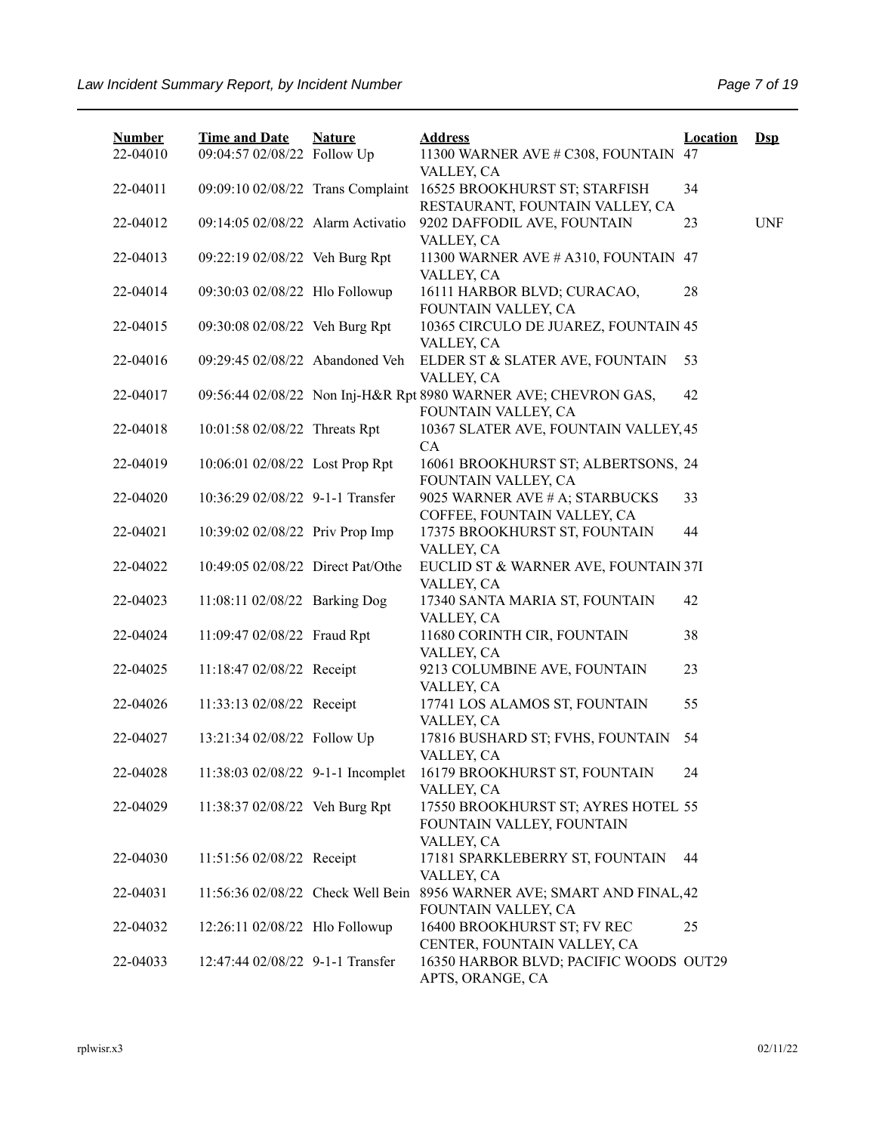| <b>Number</b> | <b>Time and Date</b>              | <b>Nature</b> | <b>Address</b>                                                                | <b>Location</b> | $Ds$       |
|---------------|-----------------------------------|---------------|-------------------------------------------------------------------------------|-----------------|------------|
| 22-04010      | 09:04:57 02/08/22 Follow Up       |               | 11300 WARNER AVE # C308, FOUNTAIN<br>VALLEY, CA                               | 47              |            |
| 22-04011      | 09:09:10 02/08/22 Trans Complaint |               | 16525 BROOKHURST ST; STARFISH<br>RESTAURANT, FOUNTAIN VALLEY, CA              | 34              |            |
| 22-04012      | 09:14:05 02/08/22 Alarm Activatio |               | 9202 DAFFODIL AVE, FOUNTAIN                                                   | 23              | <b>UNF</b> |
| 22-04013      | 09:22:19 02/08/22 Veh Burg Rpt    |               | VALLEY, CA<br>11300 WARNER AVE # A310, FOUNTAIN 47                            |                 |            |
| 22-04014      | 09:30:03 02/08/22 Hlo Followup    |               | VALLEY, CA<br>16111 HARBOR BLVD; CURACAO,                                     | 28              |            |
| 22-04015      | 09:30:08 02/08/22 Veh Burg Rpt    |               | FOUNTAIN VALLEY, CA<br>10365 CIRCULO DE JUAREZ, FOUNTAIN 45                   |                 |            |
| 22-04016      | 09:29:45 02/08/22 Abandoned Veh   |               | VALLEY, CA<br>ELDER ST & SLATER AVE, FOUNTAIN                                 | 53              |            |
| 22-04017      |                                   |               | VALLEY, CA<br>09:56:44 02/08/22 Non Inj-H&R Rpt 8980 WARNER AVE; CHEVRON GAS, | 42              |            |
| 22-04018      | 10:01:58 02/08/22 Threats Rpt     |               | FOUNTAIN VALLEY, CA<br>10367 SLATER AVE, FOUNTAIN VALLEY, 45                  |                 |            |
| 22-04019      | 10:06:01 02/08/22 Lost Prop Rpt   |               | CA<br>16061 BROOKHURST ST; ALBERTSONS, 24                                     |                 |            |
| 22-04020      | 10:36:29 02/08/22 9-1-1 Transfer  |               | FOUNTAIN VALLEY, CA<br>9025 WARNER AVE # A; STARBUCKS                         | 33              |            |
| 22-04021      | 10:39:02 02/08/22 Priv Prop Imp   |               | COFFEE, FOUNTAIN VALLEY, CA<br>17375 BROOKHURST ST, FOUNTAIN                  | 44              |            |
| 22-04022      | 10:49:05 02/08/22 Direct Pat/Othe |               | VALLEY, CA<br>EUCLID ST & WARNER AVE, FOUNTAIN 37I                            |                 |            |
| 22-04023      | 11:08:11 02/08/22 Barking Dog     |               | VALLEY, CA<br>17340 SANTA MARIA ST, FOUNTAIN                                  | 42              |            |
| 22-04024      | 11:09:47 02/08/22 Fraud Rpt       |               | VALLEY, CA<br>11680 CORINTH CIR, FOUNTAIN                                     | 38              |            |
| 22-04025      | 11:18:47 02/08/22 Receipt         |               | VALLEY, CA<br>9213 COLUMBINE AVE, FOUNTAIN                                    | 23              |            |
| 22-04026      | 11:33:13 02/08/22 Receipt         |               | VALLEY, CA<br>17741 LOS ALAMOS ST, FOUNTAIN                                   | 55              |            |
| 22-04027      | 13:21:34 02/08/22 Follow Up       |               | VALLEY, CA<br>17816 BUSHARD ST; FVHS, FOUNTAIN<br>VALLEY, CA                  | 54              |            |
| 22-04028      | 11:38:03 02/08/22 9-1-1 Incomplet |               | 16179 BROOKHURST ST, FOUNTAIN<br>VALLEY, CA                                   | 24              |            |
| 22-04029      | 11:38:37 02/08/22 Veh Burg Rpt    |               | 17550 BROOKHURST ST; AYRES HOTEL 55<br>FOUNTAIN VALLEY, FOUNTAIN              |                 |            |
| 22-04030      | 11:51:56 02/08/22 Receipt         |               | VALLEY, CA<br>17181 SPARKLEBERRY ST, FOUNTAIN                                 | 44              |            |
| 22-04031      | 11:56:36 02/08/22 Check Well Bein |               | VALLEY, CA<br>8956 WARNER AVE; SMART AND FINAL, 42<br>FOUNTAIN VALLEY, CA     |                 |            |
| 22-04032      | 12:26:11 02/08/22 Hlo Followup    |               | 16400 BROOKHURST ST; FV REC<br>CENTER, FOUNTAIN VALLEY, CA                    | 25              |            |
| 22-04033      | 12:47:44 02/08/22 9-1-1 Transfer  |               | 16350 HARBOR BLVD; PACIFIC WOODS OUT29<br>APTS, ORANGE, CA                    |                 |            |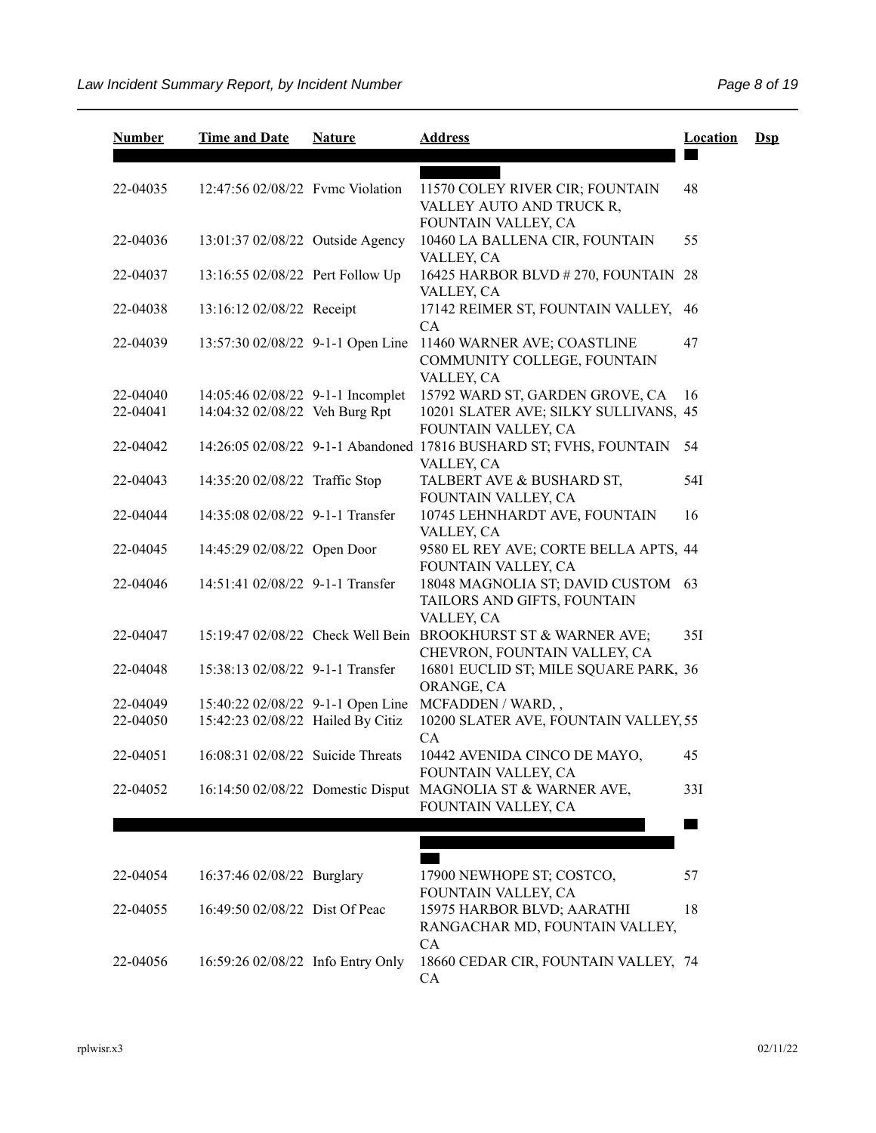| <b>Number</b> | <b>Time and Date</b>              | <b>Nature</b> | <b>Address</b>                                                                                | <b>Location</b> | $\mathbf{Dsp}$ |
|---------------|-----------------------------------|---------------|-----------------------------------------------------------------------------------------------|-----------------|----------------|
| 22-04035      | 12:47:56 02/08/22 Fyme Violation  |               | 11570 COLEY RIVER CIR; FOUNTAIN<br>VALLEY AUTO AND TRUCK R,                                   | 48              |                |
| 22-04036      | 13:01:37 02/08/22 Outside Agency  |               | FOUNTAIN VALLEY, CA<br>10460 LA BALLENA CIR, FOUNTAIN<br>VALLEY, CA                           | 55              |                |
| 22-04037      | 13:16:55 02/08/22 Pert Follow Up  |               | 16425 HARBOR BLVD # 270, FOUNTAIN 28<br>VALLEY, CA                                            |                 |                |
| 22-04038      | 13:16:12 02/08/22 Receipt         |               | 17142 REIMER ST, FOUNTAIN VALLEY,<br>CA                                                       | 46              |                |
| 22-04039      | 13:57:30 02/08/22 9-1-1 Open Line |               | 11460 WARNER AVE; COASTLINE<br>COMMUNITY COLLEGE, FOUNTAIN<br>VALLEY, CA                      | 47              |                |
| 22-04040      | 14:05:46 02/08/22 9-1-1 Incomplet |               | 15792 WARD ST, GARDEN GROVE, CA                                                               | 16              |                |
| 22-04041      | 14:04:32 02/08/22 Veh Burg Rpt    |               | 10201 SLATER AVE; SILKY SULLIVANS, 45<br>FOUNTAIN VALLEY, CA                                  |                 |                |
| 22-04042      |                                   |               | 14:26:05 02/08/22 9-1-1 Abandoned 17816 BUSHARD ST; FVHS, FOUNTAIN<br>VALLEY, CA              | 54              |                |
| 22-04043      | 14:35:20 02/08/22 Traffic Stop    |               | TALBERT AVE & BUSHARD ST,<br>FOUNTAIN VALLEY, CA                                              | 54I             |                |
| 22-04044      | 14:35:08 02/08/22 9-1-1 Transfer  |               | 10745 LEHNHARDT AVE, FOUNTAIN<br>VALLEY, CA                                                   | 16              |                |
| 22-04045      | 14:45:29 02/08/22 Open Door       |               | 9580 EL REY AVE; CORTE BELLA APTS, 44<br>FOUNTAIN VALLEY, CA                                  |                 |                |
| 22-04046      | 14:51:41 02/08/22 9-1-1 Transfer  |               | 18048 MAGNOLIA ST; DAVID CUSTOM 63<br>TAILORS AND GIFTS, FOUNTAIN<br>VALLEY, CA               |                 |                |
| 22-04047      |                                   |               | 15:19:47 02/08/22 Check Well Bein BROOKHURST ST & WARNER AVE;<br>CHEVRON, FOUNTAIN VALLEY, CA | 35I             |                |
| 22-04048      | 15:38:13 02/08/22 9-1-1 Transfer  |               | 16801 EUCLID ST; MILE SQUARE PARK, 36<br>ORANGE, CA                                           |                 |                |
| 22-04049      |                                   |               | 15:40:22 02/08/22 9-1-1 Open Line MCFADDEN / WARD,,                                           |                 |                |
| 22-04050      | 15:42:23 02/08/22 Hailed By Citiz |               | 10200 SLATER AVE, FOUNTAIN VALLEY, 55<br>CA                                                   |                 |                |
| 22-04051      | 16:08:31 02/08/22 Suicide Threats |               | 10442 AVENIDA CINCO DE MAYO,<br>FOUNTAIN VALLEY, CA                                           | 45              |                |
| 22-04052      |                                   |               | 16:14:50 02/08/22 Domestic Disput MAGNOLIA ST & WARNER AVE,<br>FOUNTAIN VALLEY, CA            | 33I             |                |
|               |                                   |               |                                                                                               |                 |                |
|               |                                   |               |                                                                                               |                 |                |
| 22-04054      | 16:37:46 02/08/22 Burglary        |               | 17900 NEWHOPE ST; COSTCO,<br>FOUNTAIN VALLEY, CA                                              | 57              |                |
| 22-04055      | 16:49:50 02/08/22 Dist Of Peac    |               | 15975 HARBOR BLVD; AARATHI<br>RANGACHAR MD, FOUNTAIN VALLEY,                                  | 18              |                |
| 22-04056      | 16:59:26 02/08/22 Info Entry Only |               | CA<br>18660 CEDAR CIR, FOUNTAIN VALLEY, 74<br>CA                                              |                 |                |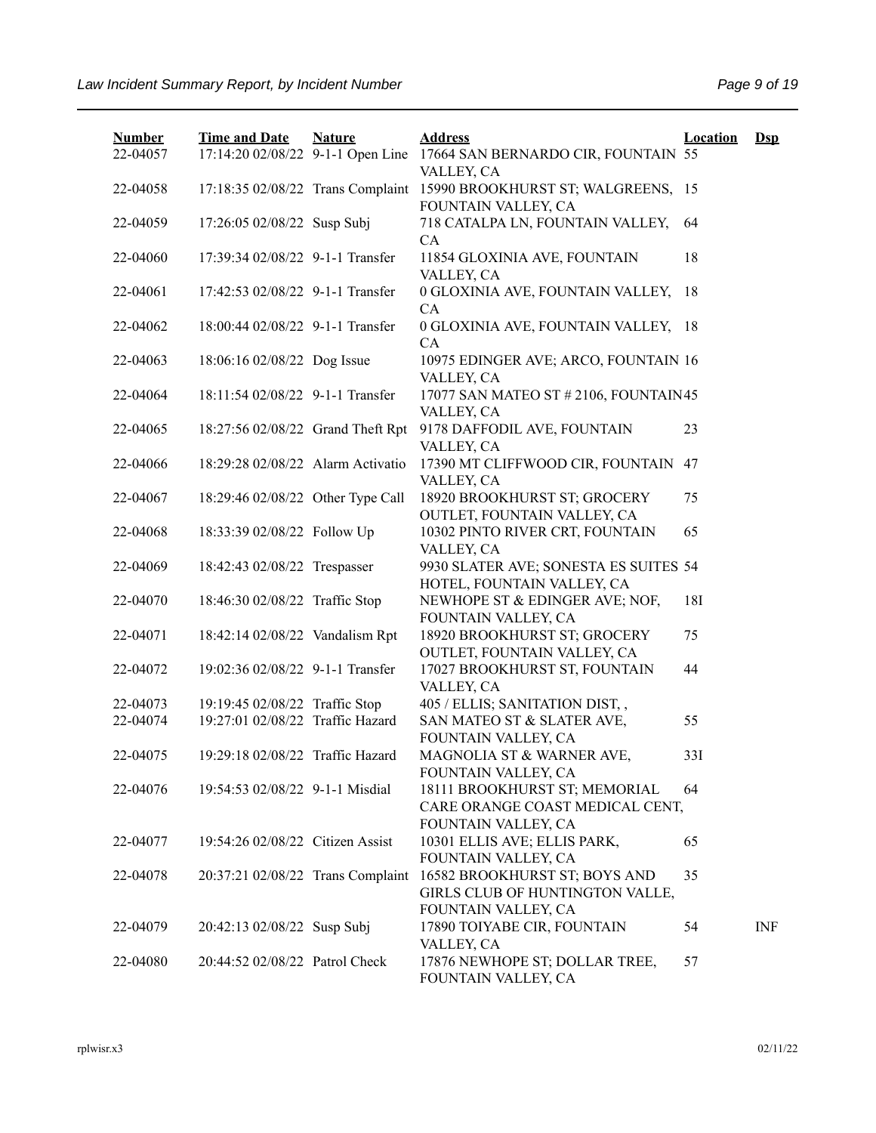| <b>Number</b><br>22-04057 | <b>Time and Date</b><br>17:14:20 02/08/22 9-1-1 Open Line | <b>Nature</b> | <b>Address</b><br>17664 SAN BERNARDO CIR, FOUNTAIN 55            | <b>Location</b> | $Dep$      |
|---------------------------|-----------------------------------------------------------|---------------|------------------------------------------------------------------|-----------------|------------|
| 22-04058                  | 17:18:35 02/08/22 Trans Complaint                         |               | VALLEY, CA<br>15990 BROOKHURST ST; WALGREENS, 15                 |                 |            |
| 22-04059                  | 17:26:05 02/08/22 Susp Subj                               |               | FOUNTAIN VALLEY, CA<br>718 CATALPA LN, FOUNTAIN VALLEY,          | 64              |            |
| 22-04060                  | 17:39:34 02/08/22 9-1-1 Transfer                          |               | CA<br>11854 GLOXINIA AVE, FOUNTAIN                               | 18              |            |
| 22-04061                  | 17:42:53 02/08/22 9-1-1 Transfer                          |               | VALLEY, CA<br>0 GLOXINIA AVE, FOUNTAIN VALLEY,                   | 18              |            |
| 22-04062                  | 18:00:44 02/08/22 9-1-1 Transfer                          |               | CA<br>0 GLOXINIA AVE, FOUNTAIN VALLEY, 18                        |                 |            |
| 22-04063                  | 18:06:16 02/08/22 Dog Issue                               |               | CA<br>10975 EDINGER AVE; ARCO, FOUNTAIN 16                       |                 |            |
| 22-04064                  | 18:11:54 02/08/22 9-1-1 Transfer                          |               | VALLEY, CA<br>17077 SAN MATEO ST # 2106, FOUNTAIN45              |                 |            |
| 22-04065                  | 18:27:56 02/08/22 Grand Theft Rpt                         |               | VALLEY, CA<br>9178 DAFFODIL AVE, FOUNTAIN                        | 23              |            |
| 22-04066                  | 18:29:28 02/08/22 Alarm Activatio                         |               | VALLEY, CA<br>17390 MT CLIFFWOOD CIR, FOUNTAIN 47                |                 |            |
| 22-04067                  | 18:29:46 02/08/22 Other Type Call                         |               | VALLEY, CA<br>18920 BROOKHURST ST; GROCERY                       | 75              |            |
| 22-04068                  | 18:33:39 02/08/22 Follow Up                               |               | OUTLET, FOUNTAIN VALLEY, CA<br>10302 PINTO RIVER CRT, FOUNTAIN   | 65              |            |
| 22-04069                  | 18:42:43 02/08/22 Trespasser                              |               | VALLEY, CA<br>9930 SLATER AVE; SONESTA ES SUITES 54              |                 |            |
| 22-04070                  | 18:46:30 02/08/22 Traffic Stop                            |               | HOTEL, FOUNTAIN VALLEY, CA<br>NEWHOPE ST & EDINGER AVE; NOF,     | 18I             |            |
| 22-04071                  | 18:42:14 02/08/22 Vandalism Rpt                           |               | FOUNTAIN VALLEY, CA<br>18920 BROOKHURST ST; GROCERY              | 75              |            |
| 22-04072                  | 19:02:36 02/08/22 9-1-1 Transfer                          |               | OUTLET, FOUNTAIN VALLEY, CA<br>17027 BROOKHURST ST, FOUNTAIN     | 44              |            |
| 22-04073                  | 19:19:45 02/08/22 Traffic Stop                            |               | VALLEY, CA<br>405 / ELLIS; SANITATION DIST,,                     |                 |            |
| 22-04074                  | 19:27:01 02/08/22 Traffic Hazard                          |               | SAN MATEO ST & SLATER AVE,<br>FOUNTAIN VALLEY, CA                | 55              |            |
| 22-04075                  | 19:29:18 02/08/22 Traffic Hazard                          |               | MAGNOLIA ST & WARNER AVE,<br>FOUNTAIN VALLEY, CA                 | 33I             |            |
| 22-04076                  | 19:54:53 02/08/22 9-1-1 Misdial                           |               | 18111 BROOKHURST ST; MEMORIAL<br>CARE ORANGE COAST MEDICAL CENT, | 64              |            |
| 22-04077                  | 19:54:26 02/08/22 Citizen Assist                          |               | FOUNTAIN VALLEY, CA<br>10301 ELLIS AVE; ELLIS PARK,              | 65              |            |
| 22-04078                  |                                                           |               | FOUNTAIN VALLEY, CA<br>16582 BROOKHURST ST; BOYS AND             | 35              |            |
|                           | 20:37:21 02/08/22 Trans Complaint                         |               | GIRLS CLUB OF HUNTINGTON VALLE,<br>FOUNTAIN VALLEY, CA           |                 |            |
| 22-04079                  | 20:42:13 02/08/22 Susp Subj                               |               | 17890 TOIYABE CIR, FOUNTAIN<br>VALLEY, CA                        | 54              | <b>INF</b> |
| 22-04080                  | 20:44:52 02/08/22 Patrol Check                            |               | 17876 NEWHOPE ST; DOLLAR TREE,<br>FOUNTAIN VALLEY, CA            | 57              |            |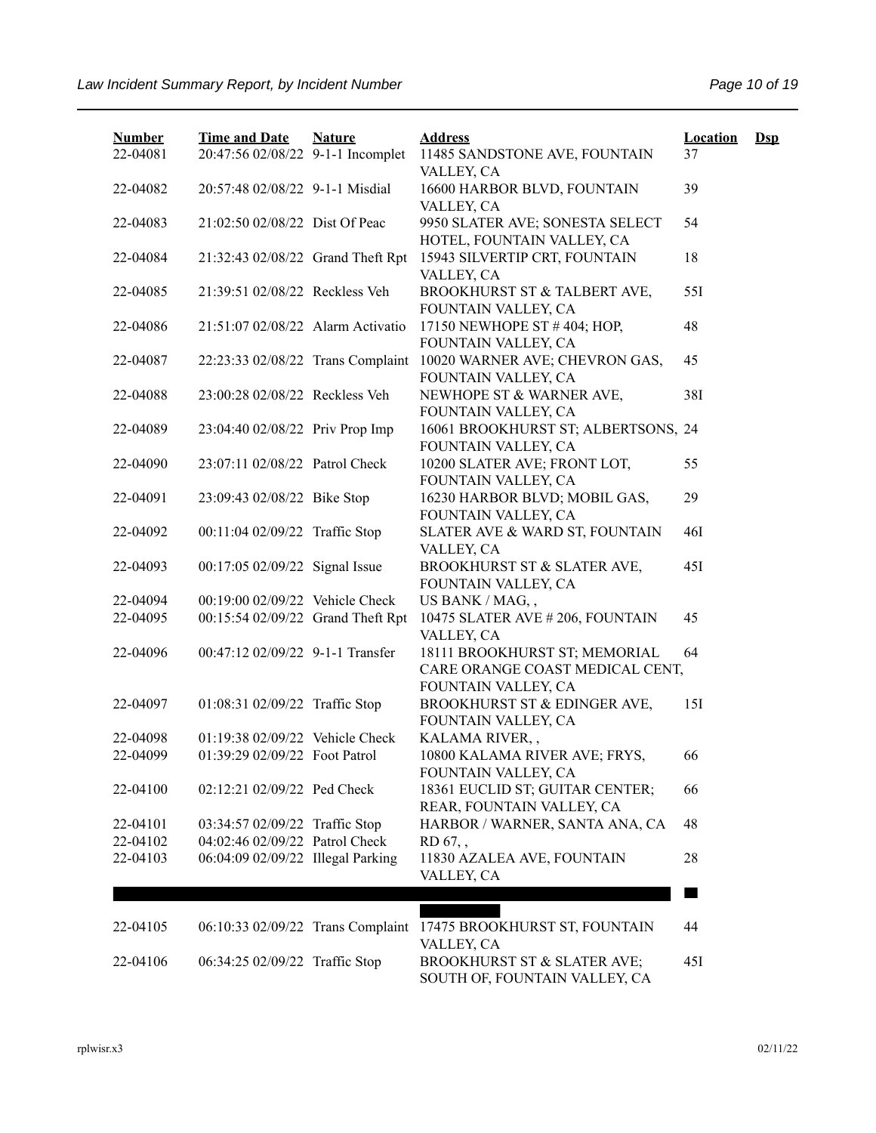| <b>Number</b><br>22-04081 | <b>Time and Date</b><br>20:47:56 02/08/22 9-1-1 Incomplet | <b>Nature</b> | <b>Address</b><br>11485 SANDSTONE AVE, FOUNTAIN                                         | <b>Location</b><br>37 | $\mathbf{Dsp}$ |
|---------------------------|-----------------------------------------------------------|---------------|-----------------------------------------------------------------------------------------|-----------------------|----------------|
| 22-04082                  | 20:57:48 02/08/22 9-1-1 Misdial                           |               | VALLEY, CA<br>16600 HARBOR BLVD, FOUNTAIN<br>VALLEY, CA                                 | 39                    |                |
| 22-04083                  | 21:02:50 02/08/22 Dist Of Peac                            |               | 9950 SLATER AVE; SONESTA SELECT<br>HOTEL, FOUNTAIN VALLEY, CA                           | 54                    |                |
| 22-04084                  | 21:32:43 02/08/22 Grand Theft Rpt                         |               | 15943 SILVERTIP CRT, FOUNTAIN<br>VALLEY, CA                                             | 18                    |                |
| 22-04085                  | 21:39:51 02/08/22 Reckless Veh                            |               | BROOKHURST ST & TALBERT AVE,<br>FOUNTAIN VALLEY, CA                                     | 551                   |                |
| 22-04086                  | 21:51:07 02/08/22 Alarm Activatio                         |               | 17150 NEWHOPE ST #404; HOP,<br>FOUNTAIN VALLEY, CA                                      | 48                    |                |
| 22-04087                  | 22:23:33 02/08/22 Trans Complaint                         |               | 10020 WARNER AVE; CHEVRON GAS,<br>FOUNTAIN VALLEY, CA                                   | 45                    |                |
| 22-04088                  | 23:00:28 02/08/22 Reckless Veh                            |               | NEWHOPE ST & WARNER AVE,<br>FOUNTAIN VALLEY, CA                                         | 38I                   |                |
| 22-04089                  | 23:04:40 02/08/22 Priv Prop Imp                           |               | 16061 BROOKHURST ST; ALBERTSONS, 24<br>FOUNTAIN VALLEY, CA                              |                       |                |
| 22-04090                  | 23:07:11 02/08/22 Patrol Check                            |               | 10200 SLATER AVE; FRONT LOT,<br>FOUNTAIN VALLEY, CA                                     | 55                    |                |
| 22-04091                  | 23:09:43 02/08/22 Bike Stop                               |               | 16230 HARBOR BLVD; MOBIL GAS,<br>FOUNTAIN VALLEY, CA                                    | 29                    |                |
| 22-04092                  | 00:11:04 02/09/22 Traffic Stop                            |               | SLATER AVE & WARD ST, FOUNTAIN<br>VALLEY, CA                                            | 46I                   |                |
| 22-04093                  | 00:17:05 02/09/22 Signal Issue                            |               | BROOKHURST ST & SLATER AVE,<br>FOUNTAIN VALLEY, CA                                      | 45I                   |                |
| 22-04094                  | 00:19:00 02/09/22 Vehicle Check                           |               | US BANK / MAG,,                                                                         |                       |                |
| 22-04095                  | 00:15:54 02/09/22 Grand Theft Rpt                         |               | 10475 SLATER AVE #206, FOUNTAIN<br>VALLEY, CA                                           | 45                    |                |
| 22-04096                  | 00:47:12 02/09/22 9-1-1 Transfer                          |               | 18111 BROOKHURST ST; MEMORIAL<br>CARE ORANGE COAST MEDICAL CENT,<br>FOUNTAIN VALLEY, CA | 64                    |                |
| 22-04097                  | 01:08:31 02/09/22 Traffic Stop                            |               | BROOKHURST ST & EDINGER AVE,<br>FOUNTAIN VALLEY, CA                                     | 15I                   |                |
| 22-04098                  | 01:19:38 02/09/22 Vehicle Check                           |               | KALAMA RIVER,,                                                                          |                       |                |
| 22-04099                  | 01:39:29 02/09/22 Foot Patrol                             |               | 10800 KALAMA RIVER AVE; FRYS,<br>FOUNTAIN VALLEY, CA                                    | 66                    |                |
| 22-04100                  | 02:12:21 02/09/22 Ped Check                               |               | 18361 EUCLID ST; GUITAR CENTER;<br>REAR, FOUNTAIN VALLEY, CA                            | 66                    |                |
| 22-04101                  | 03:34:57 02/09/22 Traffic Stop                            |               | HARBOR / WARNER, SANTA ANA, CA                                                          | 48                    |                |
| 22-04102                  | 04:02:46 02/09/22 Patrol Check                            |               | RD 67,,                                                                                 |                       |                |
| 22-04103                  | 06:04:09 02/09/22 Illegal Parking                         |               | 11830 AZALEA AVE, FOUNTAIN<br>VALLEY, CA                                                | 28                    |                |
|                           |                                                           |               |                                                                                         |                       |                |
| 22-04105                  | 06:10:33 02/09/22 Trans Complaint                         |               | 17475 BROOKHURST ST, FOUNTAIN<br>VALLEY, CA                                             | 44                    |                |
| 22-04106                  | 06:34:25 02/09/22 Traffic Stop                            |               | BROOKHURST ST & SLATER AVE;<br>SOUTH OF, FOUNTAIN VALLEY, CA                            | 45I                   |                |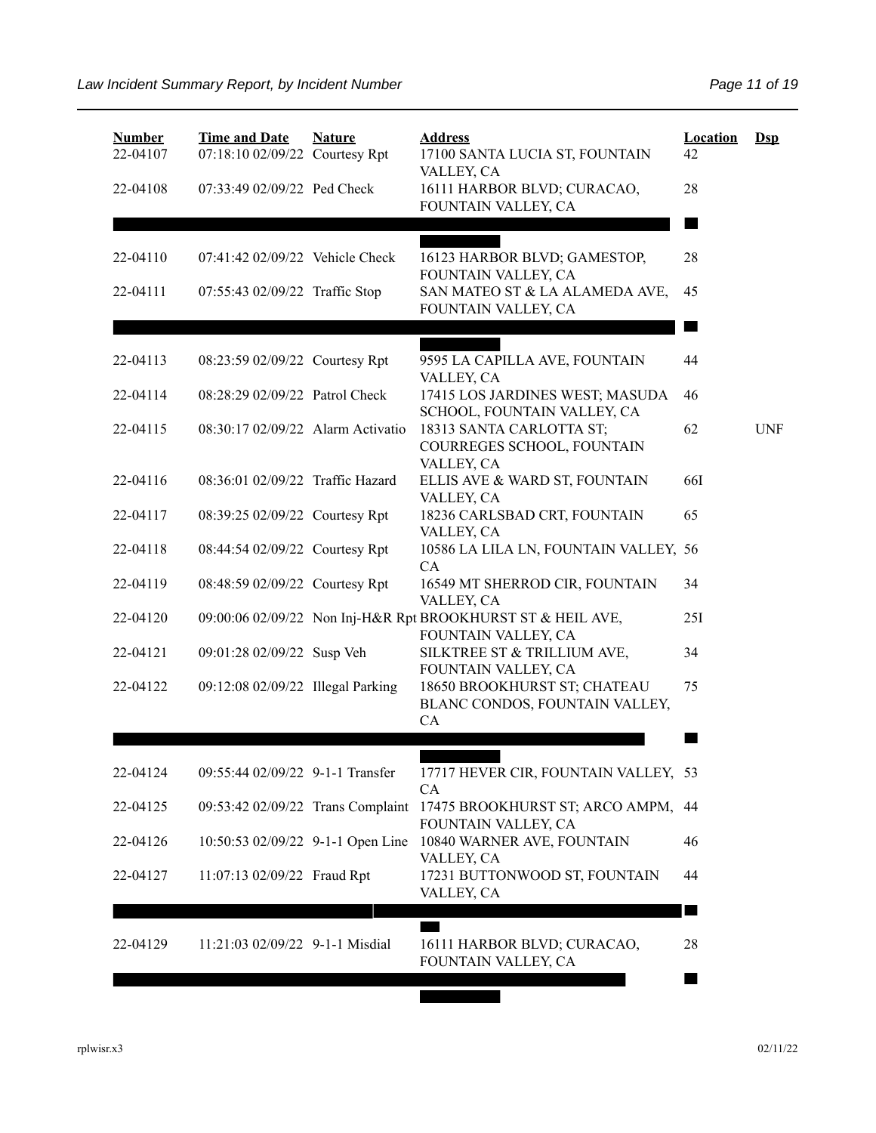| <b>Number</b><br>22-04107 | <b>Time and Date</b><br>07:18:10 02/09/22 Courtesy Rpt | <b>Nature</b> | <b>Address</b><br>17100 SANTA LUCIA ST, FOUNTAIN<br>VALLEY, CA                     | <b>Location</b><br>42 | $DsD$      |
|---------------------------|--------------------------------------------------------|---------------|------------------------------------------------------------------------------------|-----------------------|------------|
| 22-04108                  | 07:33:49 02/09/22 Ped Check                            |               | 16111 HARBOR BLVD; CURACAO,<br>FOUNTAIN VALLEY, CA                                 | 28                    |            |
|                           |                                                        |               |                                                                                    |                       |            |
| 22-04110                  | 07:41:42 02/09/22 Vehicle Check                        |               | 16123 HARBOR BLVD; GAMESTOP,<br>FOUNTAIN VALLEY, CA                                | 28                    |            |
| 22-04111                  | 07:55:43 02/09/22 Traffic Stop                         |               | SAN MATEO ST & LA ALAMEDA AVE,<br>FOUNTAIN VALLEY, CA                              | 45                    |            |
|                           |                                                        |               |                                                                                    |                       |            |
| 22-04113                  | 08:23:59 02/09/22 Courtesy Rpt                         |               | 9595 LA CAPILLA AVE, FOUNTAIN<br>VALLEY, CA                                        | 44                    |            |
| 22-04114                  | 08:28:29 02/09/22 Patrol Check                         |               | 17415 LOS JARDINES WEST; MASUDA<br>SCHOOL, FOUNTAIN VALLEY, CA                     | 46                    |            |
| 22-04115                  | 08:30:17 02/09/22 Alarm Activatio                      |               | 18313 SANTA CARLOTTA ST;<br>COURREGES SCHOOL, FOUNTAIN<br>VALLEY, CA               | 62                    | <b>UNF</b> |
| 22-04116                  | 08:36:01 02/09/22 Traffic Hazard                       |               | ELLIS AVE & WARD ST, FOUNTAIN<br>VALLEY, CA                                        | <b>66I</b>            |            |
| 22-04117                  | 08:39:25 02/09/22 Courtesy Rpt                         |               | 18236 CARLSBAD CRT, FOUNTAIN<br>VALLEY, CA                                         | 65                    |            |
| 22-04118                  | 08:44:54 02/09/22 Courtesy Rpt                         |               | 10586 LA LILA LN, FOUNTAIN VALLEY, 56<br><b>CA</b>                                 |                       |            |
| 22-04119                  | 08:48:59 02/09/22 Courtesy Rpt                         |               | 16549 MT SHERROD CIR, FOUNTAIN<br>VALLEY, CA                                       | 34                    |            |
| 22-04120                  |                                                        |               | 09:00:06 02/09/22 Non Inj-H&R Rpt BROOKHURST ST & HEIL AVE,<br>FOUNTAIN VALLEY, CA | 25I                   |            |
| 22-04121                  | 09:01:28 02/09/22 Susp Veh                             |               | SILKTREE ST & TRILLIUM AVE,<br>FOUNTAIN VALLEY, CA                                 | 34                    |            |
| 22-04122                  | 09:12:08 02/09/22 Illegal Parking                      |               | 18650 BROOKHURST ST; CHATEAU<br>BLANC CONDOS, FOUNTAIN VALLEY,<br>CA               | 75                    |            |
|                           |                                                        |               |                                                                                    |                       |            |
| 22-04124                  | 09:55:44 02/09/22 9-1-1 Transfer                       |               | 17717 HEVER CIR, FOUNTAIN VALLEY, 53<br>CA                                         |                       |            |
| 22-04125                  | 09:53:42 02/09/22 Trans Complaint                      |               | 17475 BROOKHURST ST; ARCO AMPM, 44<br>FOUNTAIN VALLEY, CA                          |                       |            |
| 22-04126                  | 10:50:53 02/09/22 9-1-1 Open Line                      |               | 10840 WARNER AVE, FOUNTAIN<br>VALLEY, CA                                           | 46                    |            |
| 22-04127                  | 11:07:13 02/09/22 Fraud Rpt                            |               | 17231 BUTTONWOOD ST, FOUNTAIN<br>VALLEY, CA                                        | 44                    |            |
|                           |                                                        |               |                                                                                    | I٣                    |            |
| 22-04129                  | 11:21:03 02/09/22 9-1-1 Misdial                        |               | 16111 HARBOR BLVD; CURACAO,<br>FOUNTAIN VALLEY, CA                                 | 28                    |            |
|                           |                                                        |               |                                                                                    |                       |            |

٦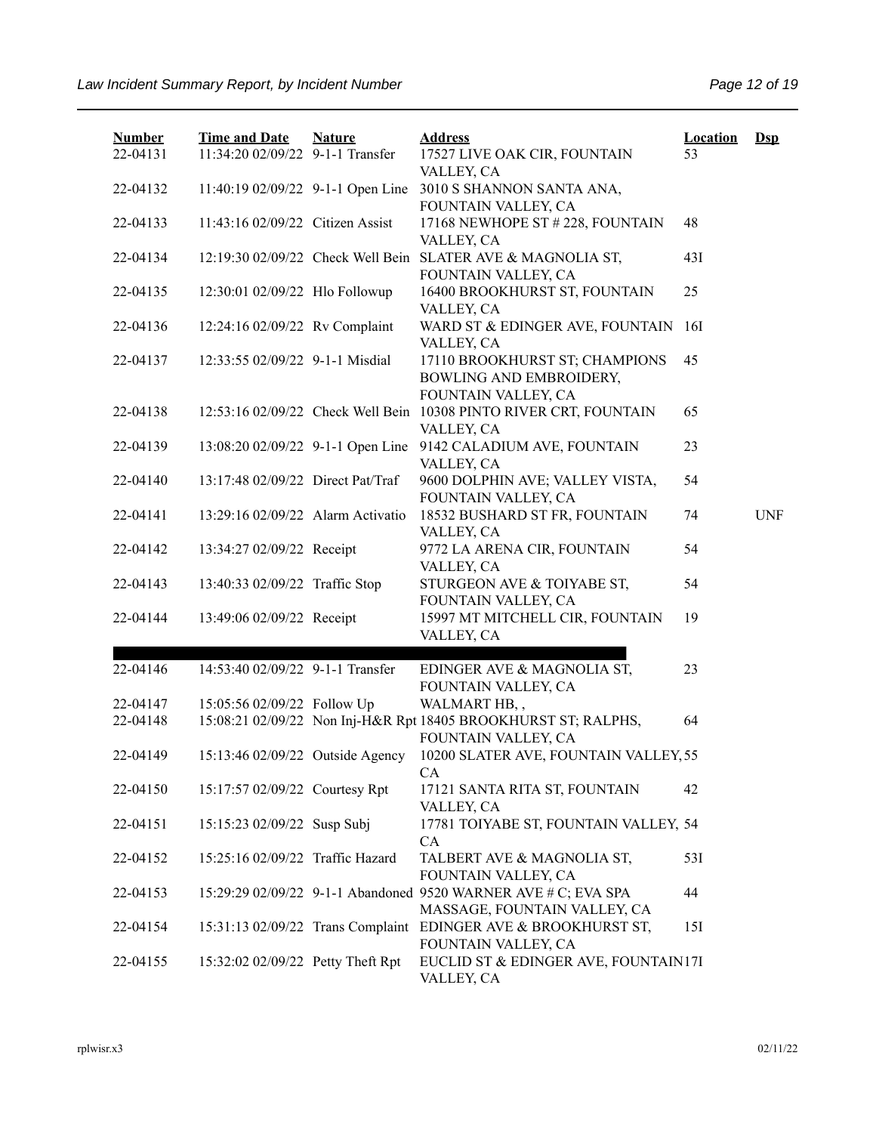| <b>Number</b><br>22-04131 | <b>Time and Date</b><br>11:34:20 02/09/22 9-1-1 Transfer | <b>Nature</b> | <b>Address</b><br>17527 LIVE OAK CIR, FOUNTAIN                                                 | <b>Location</b><br>53 | $\mathbf{Dsp}$ |
|---------------------------|----------------------------------------------------------|---------------|------------------------------------------------------------------------------------------------|-----------------------|----------------|
| 22-04132                  | 11:40:19 02/09/22 9-1-1 Open Line                        |               | VALLEY, CA<br>3010 S SHANNON SANTA ANA,<br>FOUNTAIN VALLEY, CA                                 |                       |                |
| 22-04133                  | 11:43:16 02/09/22 Citizen Assist                         |               | 17168 NEWHOPE ST #228, FOUNTAIN<br>VALLEY, CA                                                  | 48                    |                |
| 22-04134                  | 12:19:30 02/09/22 Check Well Bein                        |               | SLATER AVE & MAGNOLIA ST,<br>FOUNTAIN VALLEY, CA                                               | 431                   |                |
| 22-04135                  | 12:30:01 02/09/22 Hlo Followup                           |               | 16400 BROOKHURST ST, FOUNTAIN<br>VALLEY, CA                                                    | 25                    |                |
| 22-04136                  | 12:24:16 02/09/22 Rv Complaint                           |               | WARD ST & EDINGER AVE, FOUNTAIN<br>VALLEY, CA                                                  | 16I                   |                |
| 22-04137                  | 12:33:55 02/09/22 9-1-1 Misdial                          |               | 17110 BROOKHURST ST; CHAMPIONS<br>BOWLING AND EMBROIDERY,                                      | 45                    |                |
| 22-04138                  | 12:53:16 02/09/22 Check Well Bein                        |               | FOUNTAIN VALLEY, CA<br>10308 PINTO RIVER CRT, FOUNTAIN<br>VALLEY, CA                           | 65                    |                |
| 22-04139                  | 13:08:20 02/09/22 9-1-1 Open Line                        |               | 9142 CALADIUM AVE, FOUNTAIN<br>VALLEY, CA                                                      | 23                    |                |
| 22-04140                  | 13:17:48 02/09/22 Direct Pat/Traf                        |               | 9600 DOLPHIN AVE; VALLEY VISTA,<br>FOUNTAIN VALLEY, CA                                         | 54                    |                |
| 22-04141                  | 13:29:16 02/09/22 Alarm Activatio                        |               | 18532 BUSHARD ST FR, FOUNTAIN<br>VALLEY, CA                                                    | 74                    | <b>UNF</b>     |
| 22-04142                  | 13:34:27 02/09/22 Receipt                                |               | 9772 LA ARENA CIR, FOUNTAIN<br>VALLEY, CA                                                      | 54                    |                |
| 22-04143                  | 13:40:33 02/09/22 Traffic Stop                           |               | STURGEON AVE & TOIYABE ST,<br>FOUNTAIN VALLEY, CA                                              | 54                    |                |
| 22-04144                  | 13:49:06 02/09/22 Receipt                                |               | 15997 MT MITCHELL CIR, FOUNTAIN<br>VALLEY, CA                                                  | 19                    |                |
|                           |                                                          |               |                                                                                                |                       |                |
| 22-04146                  | 14:53:40 02/09/22 9-1-1 Transfer                         |               | EDINGER AVE & MAGNOLIA ST,<br>FOUNTAIN VALLEY, CA                                              | 23                    |                |
| 22-04147                  | 15:05:56 02/09/22 Follow Up                              |               | WALMART HB,,                                                                                   |                       |                |
| 22-04148                  |                                                          |               | 15:08:21 02/09/22 Non Inj-H&R Rpt 18405 BROOKHURST ST; RALPHS,<br>FOUNTAIN VALLEY, CA          | 64                    |                |
| 22-04149                  | 15:13:46 02/09/22 Outside Agency                         |               | 10200 SLATER AVE, FOUNTAIN VALLEY, 55<br><b>CA</b>                                             |                       |                |
| 22-04150                  | 15:17:57 02/09/22 Courtesy Rpt                           |               | 17121 SANTA RITA ST, FOUNTAIN<br>VALLEY, CA                                                    | 42                    |                |
| 22-04151                  | 15:15:23 02/09/22 Susp Subj                              |               | 17781 TOIYABE ST, FOUNTAIN VALLEY, 54<br>CA                                                    |                       |                |
| 22-04152                  | 15:25:16 02/09/22 Traffic Hazard                         |               | TALBERT AVE & MAGNOLIA ST,<br>FOUNTAIN VALLEY, CA                                              | 53I                   |                |
| 22-04153                  |                                                          |               | 15:29:29 02/09/22 9-1-1 Abandoned 9520 WARNER AVE # C; EVA SPA<br>MASSAGE, FOUNTAIN VALLEY, CA | 44                    |                |
| 22-04154                  | 15:31:13 02/09/22 Trans Complaint                        |               | EDINGER AVE & BROOKHURST ST,<br>FOUNTAIN VALLEY, CA                                            | 15I                   |                |
| 22-04155                  | 15:32:02 02/09/22 Petty Theft Rpt                        |               | EUCLID ST & EDINGER AVE, FOUNTAIN17I<br>VALLEY, CA                                             |                       |                |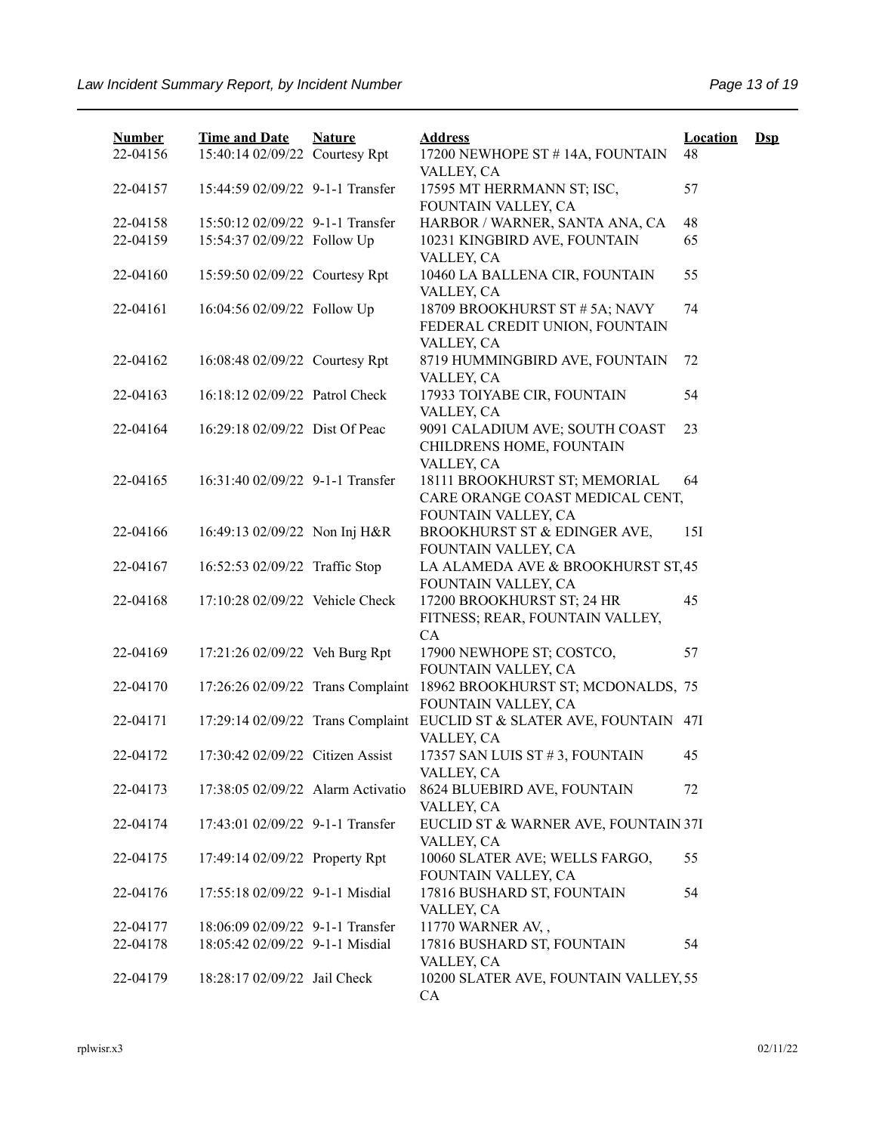| <b>Number</b><br>22-04156 | <b>Time and Date</b><br>15:40:14 02/09/22 Courtesy Rpt              | <b>Nature</b> | <b>Address</b><br>17200 NEWHOPE ST #14A, FOUNTAIN                                       | <b>Location</b><br>48 | $\mathbf{Dsp}$ |
|---------------------------|---------------------------------------------------------------------|---------------|-----------------------------------------------------------------------------------------|-----------------------|----------------|
|                           |                                                                     |               | VALLEY, CA                                                                              |                       |                |
| 22-04157                  | 15:44:59 02/09/22 9-1-1 Transfer                                    |               | 17595 MT HERRMANN ST; ISC,<br>FOUNTAIN VALLEY, CA                                       | 57                    |                |
| 22-04158                  | 15:50:12 02/09/22 9-1-1 Transfer                                    |               | HARBOR / WARNER, SANTA ANA, CA                                                          | 48                    |                |
| 22-04159                  | 15:54:37 02/09/22 Follow Up                                         |               | 10231 KINGBIRD AVE, FOUNTAIN<br>VALLEY, CA                                              | 65                    |                |
| 22-04160                  | 15:59:50 02/09/22 Courtesy Rpt                                      |               | 10460 LA BALLENA CIR, FOUNTAIN<br>VALLEY, CA                                            | 55                    |                |
| 22-04161                  | 16:04:56 02/09/22 Follow Up                                         |               | 18709 BROOKHURST ST # 5A; NAVY<br>FEDERAL CREDIT UNION, FOUNTAIN<br>VALLEY, CA          | 74                    |                |
| 22-04162                  | 16:08:48 02/09/22 Courtesy Rpt                                      |               | 8719 HUMMINGBIRD AVE, FOUNTAIN<br>VALLEY, CA                                            | 72                    |                |
| 22-04163                  | 16:18:12 02/09/22 Patrol Check                                      |               | 17933 TOIYABE CIR, FOUNTAIN<br>VALLEY, CA                                               | 54                    |                |
| 22-04164                  | 16:29:18 02/09/22 Dist Of Peac                                      |               | 9091 CALADIUM AVE; SOUTH COAST<br>CHILDRENS HOME, FOUNTAIN<br>VALLEY, CA                | 23                    |                |
| 22-04165                  | 16:31:40 02/09/22 9-1-1 Transfer                                    |               | 18111 BROOKHURST ST; MEMORIAL<br>CARE ORANGE COAST MEDICAL CENT,<br>FOUNTAIN VALLEY, CA | 64                    |                |
| 22-04166                  | 16:49:13 02/09/22 Non Inj H&R                                       |               | BROOKHURST ST & EDINGER AVE,<br>FOUNTAIN VALLEY, CA                                     | 15I                   |                |
| 22-04167                  | 16:52:53 02/09/22 Traffic Stop                                      |               | LA ALAMEDA AVE & BROOKHURST ST,45<br>FOUNTAIN VALLEY, CA                                |                       |                |
| 22-04168                  | 17:10:28 02/09/22 Vehicle Check                                     |               | 17200 BROOKHURST ST; 24 HR<br>FITNESS; REAR, FOUNTAIN VALLEY,<br>CA                     | 45                    |                |
| 22-04169                  | 17:21:26 02/09/22 Veh Burg Rpt                                      |               | 17900 NEWHOPE ST; COSTCO,<br>FOUNTAIN VALLEY, CA                                        | 57                    |                |
| 22-04170                  | 17:26:26 02/09/22 Trans Complaint                                   |               | 18962 BROOKHURST ST; MCDONALDS, 75<br>FOUNTAIN VALLEY, CA                               |                       |                |
| 22-04171                  | 17:29:14 02/09/22 Trans Complaint                                   |               | EUCLID ST & SLATER AVE, FOUNTAIN<br>VALLEY, CA                                          | 47I                   |                |
| 22-04172                  | 17:30:42 02/09/22 Citizen Assist                                    |               | 17357 SAN LUIS ST #3, FOUNTAIN<br>VALLEY, CA                                            | 45                    |                |
| 22-04173                  | 17:38:05 02/09/22 Alarm Activatio                                   |               | 8624 BLUEBIRD AVE, FOUNTAIN<br>VALLEY, CA                                               | 72                    |                |
| 22-04174                  | 17:43:01 02/09/22 9-1-1 Transfer                                    |               | EUCLID ST & WARNER AVE, FOUNTAIN 37I<br>VALLEY, CA                                      |                       |                |
| 22-04175                  | 17:49:14 02/09/22 Property Rpt                                      |               | 10060 SLATER AVE; WELLS FARGO,<br>FOUNTAIN VALLEY, CA                                   | 55                    |                |
| 22-04176                  | 17:55:18 02/09/22 9-1-1 Misdial                                     |               | 17816 BUSHARD ST, FOUNTAIN<br>VALLEY, CA                                                | 54                    |                |
| 22-04177<br>22-04178      | 18:06:09 02/09/22 9-1-1 Transfer<br>18:05:42 02/09/22 9-1-1 Misdial |               | 11770 WARNER AV,,<br>17816 BUSHARD ST, FOUNTAIN<br>VALLEY, CA                           | 54                    |                |
| 22-04179                  | 18:28:17 02/09/22 Jail Check                                        |               | 10200 SLATER AVE, FOUNTAIN VALLEY, 55<br>CA                                             |                       |                |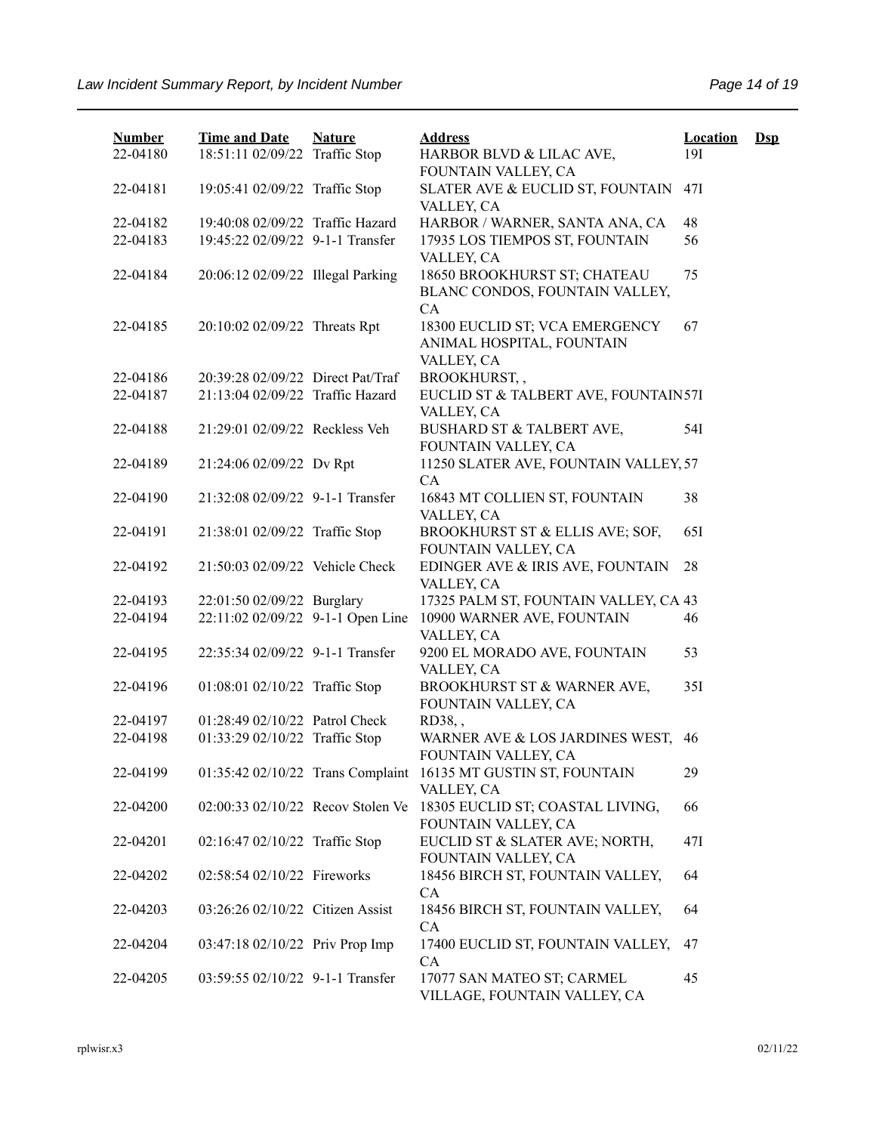| <b>Number</b><br>22-04180 | <b>Time and Date</b><br>18:51:11 02/09/22 Traffic Stop | <b>Nature</b> | <b>Address</b><br>HARBOR BLVD & LILAC AVE,                                   | <b>Location</b><br>19I | $\mathbf{Dsp}$ |
|---------------------------|--------------------------------------------------------|---------------|------------------------------------------------------------------------------|------------------------|----------------|
| 22-04181                  | 19:05:41 02/09/22 Traffic Stop                         |               | FOUNTAIN VALLEY, CA<br>SLATER AVE & EUCLID ST, FOUNTAIN                      | 47I                    |                |
|                           |                                                        |               | VALLEY, CA                                                                   |                        |                |
| 22-04182                  | 19:40:08 02/09/22 Traffic Hazard                       |               | HARBOR / WARNER, SANTA ANA, CA                                               | 48                     |                |
| 22-04183                  | 19:45:22 02/09/22 9-1-1 Transfer                       |               | 17935 LOS TIEMPOS ST, FOUNTAIN<br>VALLEY, CA                                 | 56                     |                |
| 22-04184                  | 20:06:12 02/09/22 Illegal Parking                      |               | 18650 BROOKHURST ST; CHATEAU<br>BLANC CONDOS, FOUNTAIN VALLEY,<br>CA         | 75                     |                |
| 22-04185                  | 20:10:02 02/09/22 Threats Rpt                          |               | 18300 EUCLID ST; VCA EMERGENCY<br>ANIMAL HOSPITAL, FOUNTAIN<br>VALLEY, CA    | 67                     |                |
| 22-04186                  | 20:39:28 02/09/22 Direct Pat/Traf                      |               | BROOKHURST,,                                                                 |                        |                |
| 22-04187                  | 21:13:04 02/09/22 Traffic Hazard                       |               | EUCLID ST & TALBERT AVE, FOUNTAIN57I<br>VALLEY, CA                           |                        |                |
| 22-04188                  | 21:29:01 02/09/22 Reckless Veh                         |               | BUSHARD ST & TALBERT AVE,<br>FOUNTAIN VALLEY, CA                             | 54I                    |                |
| 22-04189                  | 21:24:06 02/09/22 Dv Rpt                               |               | 11250 SLATER AVE, FOUNTAIN VALLEY, 57<br>CA                                  |                        |                |
| 22-04190                  | 21:32:08 02/09/22 9-1-1 Transfer                       |               | 16843 MT COLLIEN ST, FOUNTAIN<br>VALLEY, CA                                  | 38                     |                |
| 22-04191                  | 21:38:01 02/09/22 Traffic Stop                         |               | BROOKHURST ST & ELLIS AVE; SOF,<br>FOUNTAIN VALLEY, CA                       | 65I                    |                |
| 22-04192                  | 21:50:03 02/09/22 Vehicle Check                        |               | EDINGER AVE & IRIS AVE, FOUNTAIN<br>VALLEY, CA                               | 28                     |                |
| 22-04193                  | 22:01:50 02/09/22 Burglary                             |               | 17325 PALM ST, FOUNTAIN VALLEY, CA 43                                        |                        |                |
| 22-04194                  | 22:11:02 02/09/22 9-1-1 Open Line                      |               | 10900 WARNER AVE, FOUNTAIN<br>VALLEY, CA                                     | 46                     |                |
| 22-04195                  | 22:35:34 02/09/22 9-1-1 Transfer                       |               | 9200 EL MORADO AVE, FOUNTAIN<br>VALLEY, CA                                   | 53                     |                |
| 22-04196                  | 01:08:01 02/10/22 Traffic Stop                         |               | BROOKHURST ST & WARNER AVE,<br>FOUNTAIN VALLEY, CA                           | 35I                    |                |
| 22-04197                  | 01:28:49 02/10/22 Patrol Check                         |               | RD38,,                                                                       |                        |                |
| 22-04198                  | 01:33:29 02/10/22 Traffic Stop                         |               | WARNER AVE & LOS JARDINES WEST,<br>FOUNTAIN VALLEY, CA                       | 46                     |                |
| 22-04199                  |                                                        |               | 01:35:42 02/10/22 Trans Complaint 16135 MT GUSTIN ST, FOUNTAIN<br>VALLEY, CA | 29                     |                |
| 22-04200                  | 02:00:33 02/10/22 Recov Stolen Ve                      |               | 18305 EUCLID ST; COASTAL LIVING,<br>FOUNTAIN VALLEY, CA                      | 66                     |                |
| 22-04201                  | 02:16:47 02/10/22 Traffic Stop                         |               | EUCLID ST & SLATER AVE; NORTH,<br>FOUNTAIN VALLEY, CA                        | 47I                    |                |
| 22-04202                  | 02:58:54 02/10/22 Fireworks                            |               | 18456 BIRCH ST, FOUNTAIN VALLEY,<br>CA                                       | 64                     |                |
| 22-04203                  | 03:26:26 02/10/22 Citizen Assist                       |               | 18456 BIRCH ST, FOUNTAIN VALLEY,<br>CA                                       | 64                     |                |
| 22-04204                  | 03:47:18 02/10/22 Priv Prop Imp                        |               | 17400 EUCLID ST, FOUNTAIN VALLEY,<br>CA                                      | 47                     |                |
| 22-04205                  | 03:59:55 02/10/22 9-1-1 Transfer                       |               | 17077 SAN MATEO ST; CARMEL<br>VILLAGE, FOUNTAIN VALLEY, CA                   | 45                     |                |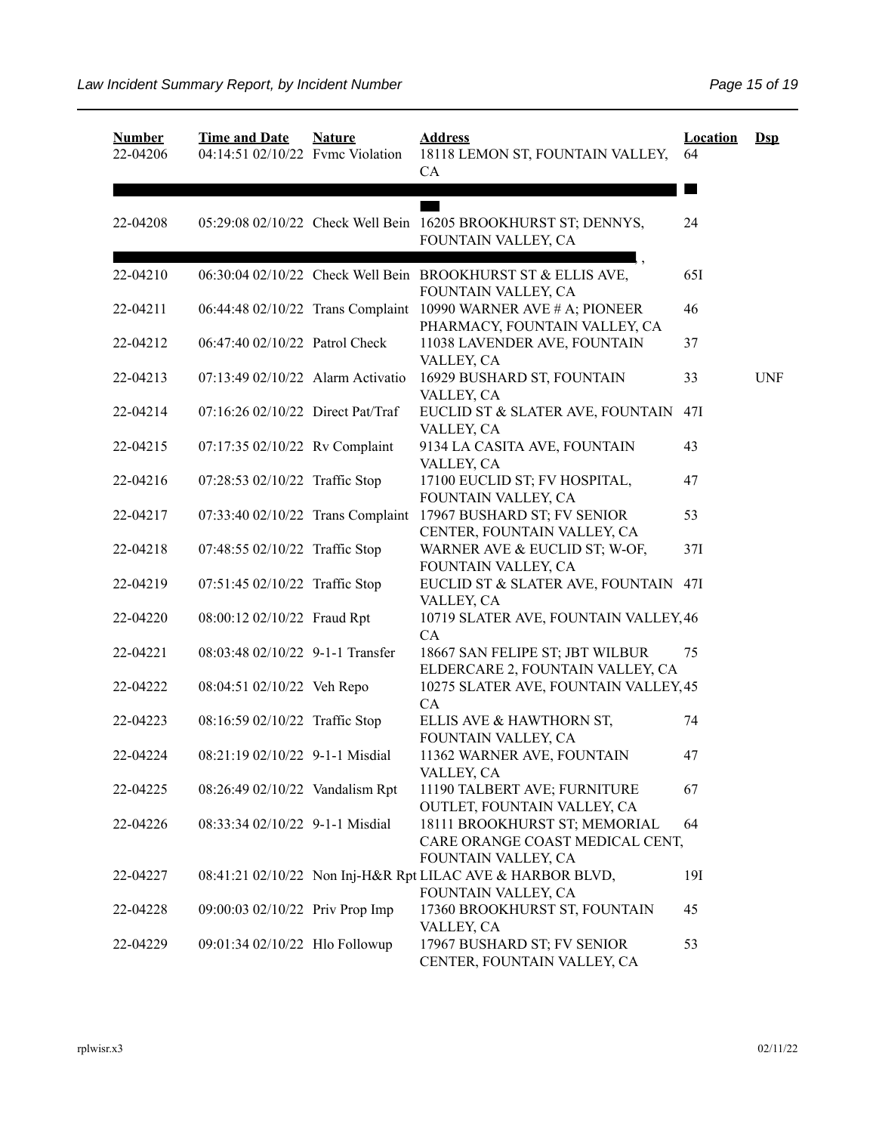| <b>Number</b><br>22-04206 | <b>Time and Date</b><br>04:14:51 02/10/22 Fvmc Violation | <b>Nature</b> | <b>Address</b><br>18118 LEMON ST, FOUNTAIN VALLEY,<br>CA                                         | <b>Location</b><br>64 | $\mathbf{Dsp}$ |
|---------------------------|----------------------------------------------------------|---------------|--------------------------------------------------------------------------------------------------|-----------------------|----------------|
| 22-04208                  |                                                          |               | 05:29:08 02/10/22 Check Well Bein 16205 BROOKHURST ST; DENNYS,<br>FOUNTAIN VALLEY, CA            | 24                    |                |
| 22-04210                  |                                                          |               | 06:30:04 02/10/22 Check Well Bein BROOKHURST ST & ELLIS AVE,<br>FOUNTAIN VALLEY, CA              | 65I                   |                |
| 22-04211                  |                                                          |               | 06:44:48 02/10/22 Trans Complaint 10990 WARNER AVE # A; PIONEER<br>PHARMACY, FOUNTAIN VALLEY, CA | 46                    |                |
| 22-04212                  | 06:47:40 02/10/22 Patrol Check                           |               | 11038 LAVENDER AVE, FOUNTAIN<br>VALLEY, CA                                                       | 37                    |                |
| 22-04213                  | 07:13:49 02/10/22 Alarm Activatio                        |               | 16929 BUSHARD ST, FOUNTAIN<br>VALLEY, CA                                                         | 33                    | <b>UNF</b>     |
| 22-04214                  | 07:16:26 02/10/22 Direct Pat/Traf                        |               | EUCLID ST & SLATER AVE, FOUNTAIN<br>VALLEY, CA                                                   | 47I                   |                |
| 22-04215                  | 07:17:35 02/10/22 Rv Complaint                           |               | 9134 LA CASITA AVE, FOUNTAIN<br>VALLEY, CA                                                       | 43                    |                |
| 22-04216                  | 07:28:53 02/10/22 Traffic Stop                           |               | 17100 EUCLID ST; FV HOSPITAL,<br>FOUNTAIN VALLEY, CA                                             | 47                    |                |
| 22-04217                  | 07:33:40 02/10/22 Trans Complaint                        |               | 17967 BUSHARD ST; FV SENIOR<br>CENTER, FOUNTAIN VALLEY, CA                                       | 53                    |                |
| 22-04218                  | 07:48:55 02/10/22 Traffic Stop                           |               | WARNER AVE & EUCLID ST; W-OF,<br>FOUNTAIN VALLEY, CA                                             | 37I                   |                |
| 22-04219                  | 07:51:45 02/10/22 Traffic Stop                           |               | EUCLID ST & SLATER AVE, FOUNTAIN 47I<br>VALLEY, CA                                               |                       |                |
| 22-04220                  | 08:00:12 02/10/22 Fraud Rpt                              |               | 10719 SLATER AVE, FOUNTAIN VALLEY, 46<br>CA                                                      |                       |                |
| 22-04221                  | 08:03:48 02/10/22 9-1-1 Transfer                         |               | 18667 SAN FELIPE ST; JBT WILBUR<br>ELDERCARE 2, FOUNTAIN VALLEY, CA                              | 75                    |                |
| 22-04222                  | 08:04:51 02/10/22 Veh Repo                               |               | 10275 SLATER AVE, FOUNTAIN VALLEY, 45<br>CA                                                      |                       |                |
| 22-04223                  | 08:16:59 02/10/22 Traffic Stop                           |               | ELLIS AVE & HAWTHORN ST,<br>FOUNTAIN VALLEY, CA                                                  | 74                    |                |
| 22-04224                  | 08:21:19 02/10/22 9-1-1 Misdial                          |               | 11362 WARNER AVE, FOUNTAIN<br>VALLEY, CA                                                         | 47                    |                |
| 22-04225                  | 08:26:49 02/10/22 Vandalism Rpt                          |               | 11190 TALBERT AVE; FURNITURE<br>OUTLET, FOUNTAIN VALLEY, CA                                      | 67                    |                |
| 22-04226                  | 08:33:34 02/10/22 9-1-1 Misdial                          |               | 18111 BROOKHURST ST; MEMORIAL<br>CARE ORANGE COAST MEDICAL CENT,<br>FOUNTAIN VALLEY, CA          | 64                    |                |
| 22-04227                  |                                                          |               | 08:41:21 02/10/22 Non Inj-H&R Rpt LILAC AVE & HARBOR BLVD,<br>FOUNTAIN VALLEY, CA                | 19I                   |                |
| 22-04228                  | 09:00:03 02/10/22 Priv Prop Imp                          |               | 17360 BROOKHURST ST, FOUNTAIN<br>VALLEY, CA                                                      | 45                    |                |
| 22-04229                  | 09:01:34 02/10/22 Hlo Followup                           |               | 17967 BUSHARD ST; FV SENIOR<br>CENTER, FOUNTAIN VALLEY, CA                                       | 53                    |                |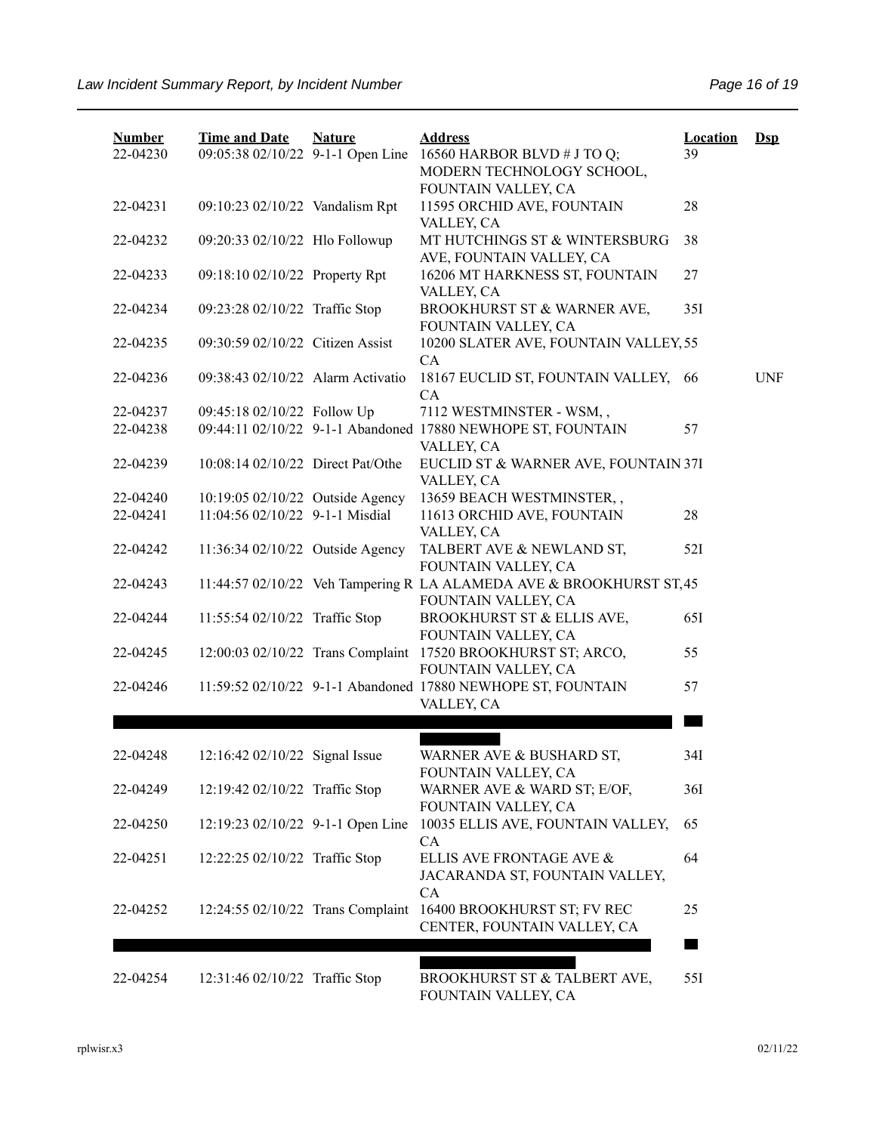| <b>Number</b><br>22-04230 | <b>Time and Date</b><br>09:05:38 02/10/22 9-1-1 Open Line | <b>Nature</b> | <b>Address</b><br>16560 HARBOR BLVD # J TO Q;<br>MODERN TECHNOLOGY SCHOOL,<br>FOUNTAIN VALLEY, CA | <b>Location</b><br>39 | $\mathbf{Dsp}$ |
|---------------------------|-----------------------------------------------------------|---------------|---------------------------------------------------------------------------------------------------|-----------------------|----------------|
| 22-04231                  | 09:10:23 02/10/22 Vandalism Rpt                           |               | 11595 ORCHID AVE, FOUNTAIN<br>VALLEY, CA                                                          | 28                    |                |
| 22-04232                  | 09:20:33 02/10/22 Hlo Followup                            |               | MT HUTCHINGS ST & WINTERSBURG<br>AVE, FOUNTAIN VALLEY, CA                                         | 38                    |                |
| 22-04233                  | 09:18:10 02/10/22 Property Rpt                            |               | 16206 MT HARKNESS ST, FOUNTAIN<br>VALLEY, CA                                                      | 27                    |                |
| 22-04234                  | 09:23:28 02/10/22 Traffic Stop                            |               | BROOKHURST ST & WARNER AVE,<br>FOUNTAIN VALLEY, CA                                                | 35I                   |                |
| 22-04235                  | 09:30:59 02/10/22 Citizen Assist                          |               | 10200 SLATER AVE, FOUNTAIN VALLEY, 55<br><b>CA</b>                                                |                       |                |
| 22-04236                  | 09:38:43 02/10/22 Alarm Activatio                         |               | 18167 EUCLID ST, FOUNTAIN VALLEY, 66<br><b>CA</b>                                                 |                       | <b>UNF</b>     |
| 22-04237                  | 09:45:18 02/10/22 Follow Up                               |               | 7112 WESTMINSTER - WSM,,                                                                          |                       |                |
| 22-04238                  |                                                           |               | 09:44:11 02/10/22 9-1-1 Abandoned 17880 NEWHOPE ST, FOUNTAIN<br>VALLEY, CA                        | 57                    |                |
| 22-04239                  | 10:08:14 02/10/22 Direct Pat/Othe                         |               | EUCLID ST & WARNER AVE, FOUNTAIN 37I<br>VALLEY, CA                                                |                       |                |
| 22-04240                  | 10:19:05 02/10/22 Outside Agency                          |               | 13659 BEACH WESTMINSTER,,                                                                         |                       |                |
| 22-04241                  | 11:04:56 02/10/22 9-1-1 Misdial                           |               | 11613 ORCHID AVE, FOUNTAIN<br>VALLEY, CA                                                          | 28                    |                |
| 22-04242                  | 11:36:34 02/10/22 Outside Agency                          |               | TALBERT AVE & NEWLAND ST,<br>FOUNTAIN VALLEY, CA                                                  | 52I                   |                |
| 22-04243                  |                                                           |               | 11:44:57 02/10/22 Veh Tampering R LA ALAMEDA AVE & BROOKHURST ST, 45<br>FOUNTAIN VALLEY, CA       |                       |                |
| 22-04244                  | 11:55:54 02/10/22 Traffic Stop                            |               | BROOKHURST ST & ELLIS AVE,<br>FOUNTAIN VALLEY, CA                                                 | 65I                   |                |
| 22-04245                  |                                                           |               | 12:00:03 02/10/22 Trans Complaint 17520 BROOKHURST ST; ARCO,<br>FOUNTAIN VALLEY, CA               | 55                    |                |
| 22-04246                  |                                                           |               | 11:59:52 02/10/22 9-1-1 Abandoned 17880 NEWHOPE ST, FOUNTAIN<br>VALLEY, CA                        | 57                    |                |
|                           |                                                           |               |                                                                                                   |                       |                |
|                           |                                                           |               |                                                                                                   |                       |                |
| 22-04248                  | 12:16:42 02/10/22 Signal Issue                            |               | WARNER AVE & BUSHARD ST,<br>FOUNTAIN VALLEY, CA                                                   | 34I                   |                |
| 22-04249                  | 12:19:42 02/10/22 Traffic Stop                            |               | WARNER AVE & WARD ST; E/OF,<br>FOUNTAIN VALLEY, CA                                                | 36I                   |                |
| 22-04250                  | 12:19:23 02/10/22 9-1-1 Open Line                         |               | 10035 ELLIS AVE, FOUNTAIN VALLEY,<br>CA                                                           | 65                    |                |
| 22-04251                  | 12:22:25 02/10/22 Traffic Stop                            |               | ELLIS AVE FRONTAGE AVE &<br>JACARANDA ST, FOUNTAIN VALLEY,<br>CA                                  | 64                    |                |
| 22-04252                  | 12:24:55 02/10/22 Trans Complaint                         |               | 16400 BROOKHURST ST; FV REC<br>CENTER, FOUNTAIN VALLEY, CA                                        | 25                    |                |
| 22-04254                  | 12:31:46 02/10/22 Traffic Stop                            |               | BROOKHURST ST & TALBERT AVE,<br>FOUNTAIN VALLEY, CA                                               | 551                   |                |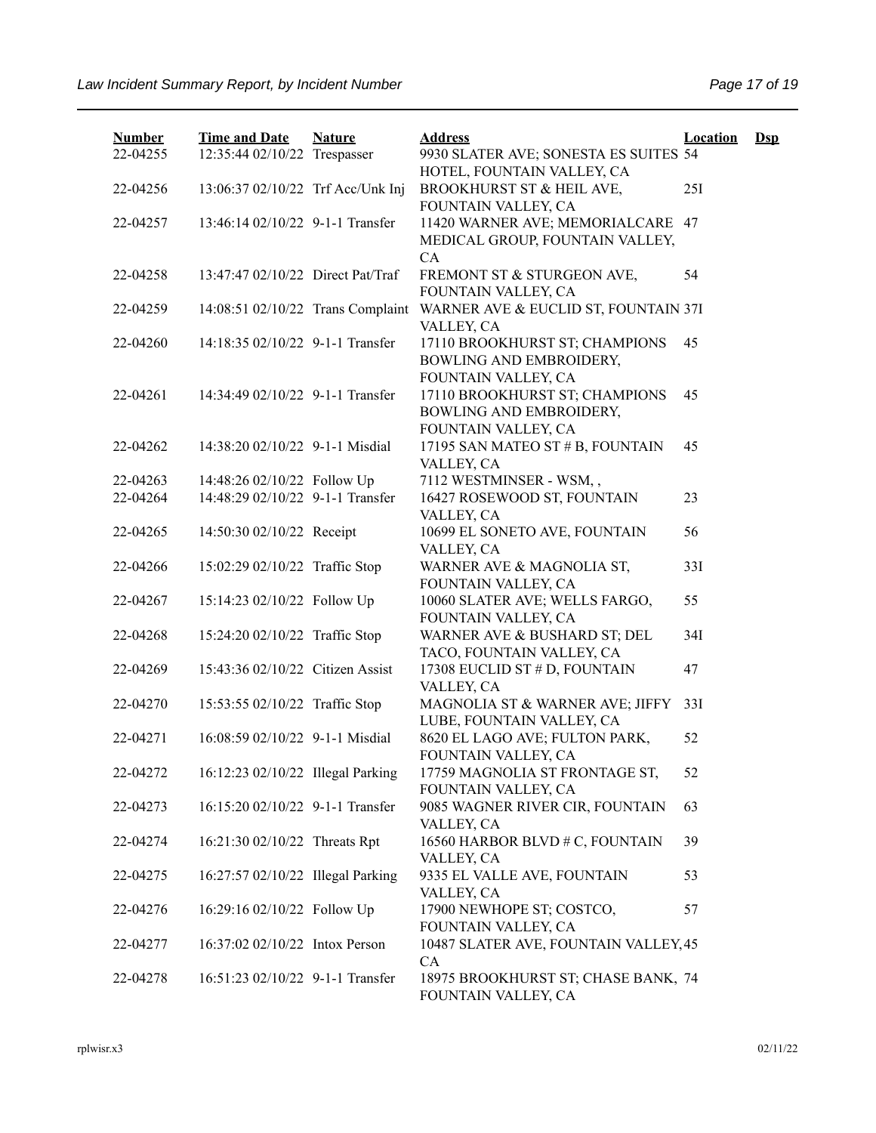| <b>Number</b> | <b>Time and Date</b>              | <b>Nature</b> | <b>Address</b>                                                      | <b>Location</b> | $\mathbf{Dsp}$ |
|---------------|-----------------------------------|---------------|---------------------------------------------------------------------|-----------------|----------------|
| 22-04255      | 12:35:44 02/10/22 Trespasser      |               | 9930 SLATER AVE; SONESTA ES SUITES 54<br>HOTEL, FOUNTAIN VALLEY, CA |                 |                |
| 22-04256      | 13:06:37 02/10/22 Trf Acc/Unk Inj |               | BROOKHURST ST & HEIL AVE,                                           | 25I             |                |
|               |                                   |               | FOUNTAIN VALLEY, CA                                                 |                 |                |
| 22-04257      | 13:46:14 02/10/22 9-1-1 Transfer  |               | 11420 WARNER AVE; MEMORIALCARE 47                                   |                 |                |
|               |                                   |               | MEDICAL GROUP, FOUNTAIN VALLEY,                                     |                 |                |
|               |                                   |               | CA                                                                  |                 |                |
| 22-04258      | 13:47:47 02/10/22 Direct Pat/Traf |               | FREMONT ST & STURGEON AVE,                                          | 54              |                |
|               |                                   |               | FOUNTAIN VALLEY, CA                                                 |                 |                |
| 22-04259      | 14:08:51 02/10/22 Trans Complaint |               | WARNER AVE & EUCLID ST, FOUNTAIN 37I                                |                 |                |
|               |                                   |               | VALLEY, CA                                                          |                 |                |
| 22-04260      | 14:18:35 02/10/22 9-1-1 Transfer  |               | 17110 BROOKHURST ST; CHAMPIONS                                      | 45              |                |
|               |                                   |               | BOWLING AND EMBROIDERY,                                             |                 |                |
|               |                                   |               | FOUNTAIN VALLEY, CA                                                 |                 |                |
| 22-04261      | 14:34:49 02/10/22 9-1-1 Transfer  |               | 17110 BROOKHURST ST; CHAMPIONS                                      | 45              |                |
|               |                                   |               | BOWLING AND EMBROIDERY,                                             |                 |                |
|               |                                   |               | FOUNTAIN VALLEY, CA                                                 |                 |                |
| 22-04262      | 14:38:20 02/10/22 9-1-1 Misdial   |               | 17195 SAN MATEO ST # B, FOUNTAIN                                    | 45              |                |
|               |                                   |               | VALLEY, CA                                                          |                 |                |
| 22-04263      | 14:48:26 02/10/22 Follow Up       |               | 7112 WESTMINSER - WSM,,                                             |                 |                |
| 22-04264      | 14:48:29 02/10/22 9-1-1 Transfer  |               | 16427 ROSEWOOD ST, FOUNTAIN                                         | 23              |                |
|               |                                   |               | VALLEY, CA                                                          |                 |                |
| 22-04265      | 14:50:30 02/10/22 Receipt         |               | 10699 EL SONETO AVE, FOUNTAIN                                       | 56              |                |
|               |                                   |               | VALLEY, CA                                                          |                 |                |
| 22-04266      | 15:02:29 02/10/22 Traffic Stop    |               | WARNER AVE & MAGNOLIA ST,                                           | 33I             |                |
|               |                                   |               | FOUNTAIN VALLEY, CA                                                 |                 |                |
| 22-04267      | 15:14:23 02/10/22 Follow Up       |               | 10060 SLATER AVE; WELLS FARGO,                                      | 55              |                |
|               |                                   |               | FOUNTAIN VALLEY, CA                                                 |                 |                |
| 22-04268      | 15:24:20 02/10/22 Traffic Stop    |               | WARNER AVE & BUSHARD ST; DEL                                        | 34I             |                |
|               |                                   |               | TACO, FOUNTAIN VALLEY, CA                                           |                 |                |
| 22-04269      | 15:43:36 02/10/22 Citizen Assist  |               | 17308 EUCLID ST # D, FOUNTAIN                                       | 47              |                |
|               |                                   |               | VALLEY, CA                                                          |                 |                |
| 22-04270      | 15:53:55 02/10/22 Traffic Stop    |               | MAGNOLIA ST & WARNER AVE; JIFFY                                     | 33I             |                |
|               |                                   |               | LUBE, FOUNTAIN VALLEY, CA                                           |                 |                |
| 22-04271      | 16:08:59 02/10/22 9-1-1 Misdial   |               | 8620 EL LAGO AVE; FULTON PARK,                                      | 52              |                |
|               |                                   |               | FOUNTAIN VALLEY, CA                                                 |                 |                |
| 22-04272      | 16:12:23 02/10/22 Illegal Parking |               | 17759 MAGNOLIA ST FRONTAGE ST,                                      | 52              |                |
|               |                                   |               | FOUNTAIN VALLEY, CA                                                 |                 |                |
| 22-04273      | 16:15:20 02/10/22 9-1-1 Transfer  |               | 9085 WAGNER RIVER CIR, FOUNTAIN                                     | 63              |                |
|               |                                   |               | VALLEY, CA                                                          |                 |                |
| 22-04274      | 16:21:30 02/10/22 Threats Rpt     |               | 16560 HARBOR BLVD # C, FOUNTAIN                                     | 39              |                |
|               |                                   |               | VALLEY, CA                                                          |                 |                |
| 22-04275      | 16:27:57 02/10/22 Illegal Parking |               | 9335 EL VALLE AVE, FOUNTAIN                                         | 53              |                |
|               |                                   |               | VALLEY, CA                                                          |                 |                |
| 22-04276      | 16:29:16 02/10/22 Follow Up       |               | 17900 NEWHOPE ST; COSTCO,                                           | 57              |                |
|               |                                   |               | FOUNTAIN VALLEY, CA                                                 |                 |                |
| 22-04277      | 16:37:02 02/10/22 Intox Person    |               | 10487 SLATER AVE, FOUNTAIN VALLEY, 45                               |                 |                |
|               |                                   |               | CA                                                                  |                 |                |
| 22-04278      | 16:51:23 02/10/22 9-1-1 Transfer  |               | 18975 BROOKHURST ST; CHASE BANK, 74                                 |                 |                |
|               |                                   |               | FOUNTAIN VALLEY, CA                                                 |                 |                |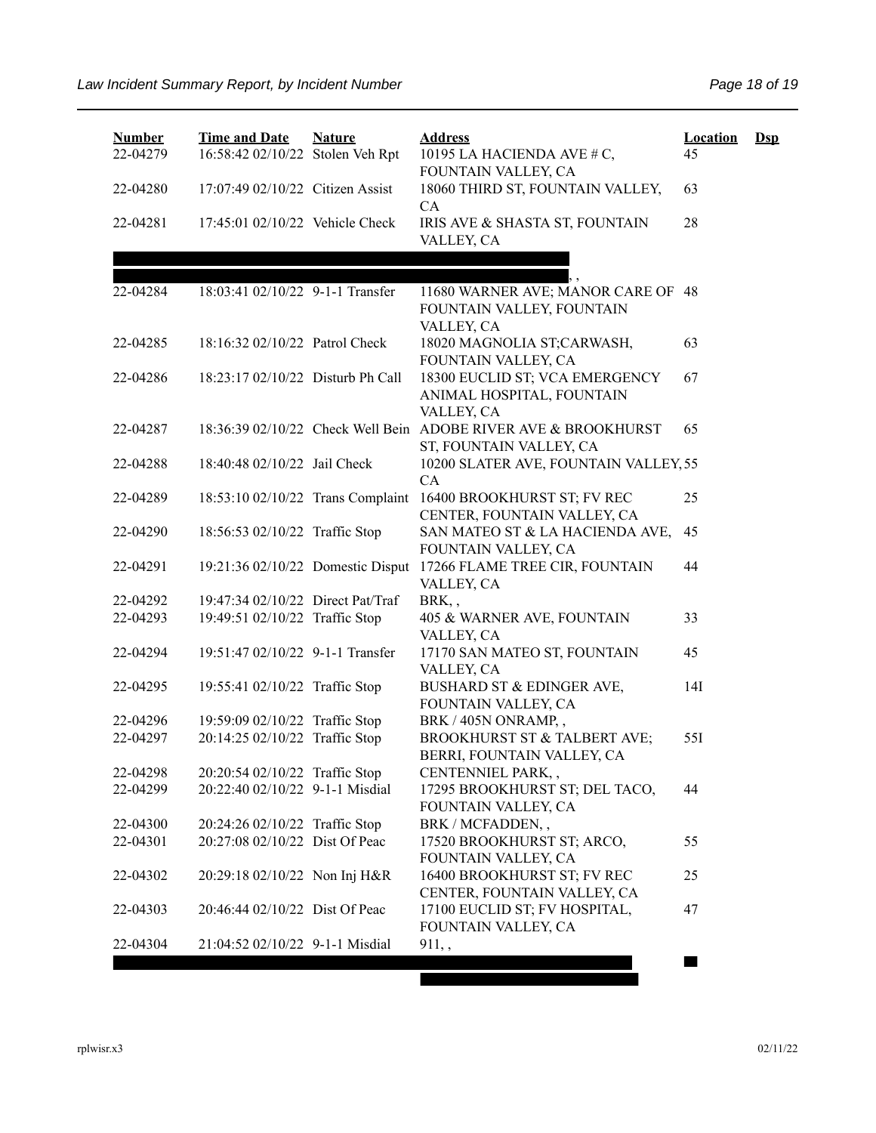| <b>Number</b> | <b>Time and Date</b>              | <b>Nature</b> | <b>Address</b>                                                 | <b>Location</b> | $\mathbf{Dsp}$ |
|---------------|-----------------------------------|---------------|----------------------------------------------------------------|-----------------|----------------|
| 22-04279      | 16:58:42 02/10/22 Stolen Veh Rpt  |               | 10195 LA HACIENDA AVE # C,                                     | 45              |                |
|               |                                   |               | FOUNTAIN VALLEY, CA                                            |                 |                |
| 22-04280      | 17:07:49 02/10/22 Citizen Assist  |               | 18060 THIRD ST, FOUNTAIN VALLEY,<br>CA                         | 63              |                |
| 22-04281      | 17:45:01 02/10/22 Vehicle Check   |               | IRIS AVE & SHASTA ST, FOUNTAIN                                 | 28              |                |
|               |                                   |               | VALLEY, CA                                                     |                 |                |
|               |                                   |               |                                                                |                 |                |
| 22-04284      | 18:03:41 02/10/22 9-1-1 Transfer  |               | 11680 WARNER AVE; MANOR CARE OF 48                             |                 |                |
|               |                                   |               | FOUNTAIN VALLEY, FOUNTAIN                                      |                 |                |
|               |                                   |               | VALLEY, CA                                                     |                 |                |
| 22-04285      | 18:16:32 02/10/22 Patrol Check    |               | 18020 MAGNOLIA ST;CARWASH,                                     | 63              |                |
|               |                                   |               | FOUNTAIN VALLEY, CA                                            |                 |                |
| 22-04286      | 18:23:17 02/10/22 Disturb Ph Call |               | 18300 EUCLID ST; VCA EMERGENCY                                 | 67              |                |
|               |                                   |               | ANIMAL HOSPITAL, FOUNTAIN                                      |                 |                |
|               |                                   |               | VALLEY, CA                                                     |                 |                |
| 22-04287      |                                   |               | 18:36:39 02/10/22 Check Well Bein ADOBE RIVER AVE & BROOKHURST | 65              |                |
|               |                                   |               | ST, FOUNTAIN VALLEY, CA                                        |                 |                |
| 22-04288      | 18:40:48 02/10/22 Jail Check      |               | 10200 SLATER AVE, FOUNTAIN VALLEY, 55<br>CA                    |                 |                |
| 22-04289      | 18:53:10 02/10/22 Trans Complaint |               | 16400 BROOKHURST ST; FV REC                                    | 25              |                |
|               |                                   |               | CENTER, FOUNTAIN VALLEY, CA                                    |                 |                |
| 22-04290      | 18:56:53 02/10/22 Traffic Stop    |               | SAN MATEO ST & LA HACIENDA AVE,                                | 45              |                |
|               |                                   |               | FOUNTAIN VALLEY, CA                                            |                 |                |
| 22-04291      | 19:21:36 02/10/22 Domestic Disput |               | 17266 FLAME TREE CIR, FOUNTAIN                                 | 44              |                |
|               |                                   |               | VALLEY, CA                                                     |                 |                |
| 22-04292      | 19:47:34 02/10/22 Direct Pat/Traf |               | BRK,,                                                          |                 |                |
| 22-04293      | 19:49:51 02/10/22 Traffic Stop    |               | 405 & WARNER AVE, FOUNTAIN                                     | 33              |                |
|               |                                   |               | VALLEY, CA                                                     |                 |                |
| 22-04294      | 19:51:47 02/10/22 9-1-1 Transfer  |               | 17170 SAN MATEO ST, FOUNTAIN                                   | 45              |                |
|               |                                   |               | VALLEY, CA                                                     |                 |                |
| 22-04295      | 19:55:41 02/10/22 Traffic Stop    |               | BUSHARD ST & EDINGER AVE,                                      | 14I             |                |
| 22-04296      | 19:59:09 02/10/22 Traffic Stop    |               | FOUNTAIN VALLEY, CA<br>BRK / 405N ONRAMP,,                     |                 |                |
| 22-04297      | 20:14:25 02/10/22 Traffic Stop    |               | BROOKHURST ST & TALBERT AVE;                                   | 55I             |                |
|               |                                   |               | BERRI, FOUNTAIN VALLEY, CA                                     |                 |                |
| 22-04298      | 20:20:54 02/10/22 Traffic Stop    |               | CENTENNIEL PARK,,                                              |                 |                |
| 22-04299      | 20:22:40 02/10/22 9-1-1 Misdial   |               | 17295 BROOKHURST ST; DEL TACO,                                 | 44              |                |
|               |                                   |               | FOUNTAIN VALLEY, CA                                            |                 |                |
| 22-04300      | 20:24:26 02/10/22 Traffic Stop    |               | BRK / MCFADDEN,,                                               |                 |                |
| 22-04301      | 20:27:08 02/10/22 Dist Of Peac    |               | 17520 BROOKHURST ST; ARCO,                                     | 55              |                |
|               |                                   |               | FOUNTAIN VALLEY, CA                                            |                 |                |
| 22-04302      | 20:29:18 02/10/22 Non Inj H&R     |               | 16400 BROOKHURST ST; FV REC                                    | 25              |                |
|               |                                   |               | CENTER, FOUNTAIN VALLEY, CA                                    |                 |                |
| 22-04303      | 20:46:44 02/10/22 Dist Of Peac    |               | 17100 EUCLID ST; FV HOSPITAL,<br>FOUNTAIN VALLEY, CA           | 47              |                |
| 22-04304      | 21:04:52 02/10/22 9-1-1 Misdial   |               | $911,$ ,                                                       |                 |                |
|               |                                   |               |                                                                |                 |                |